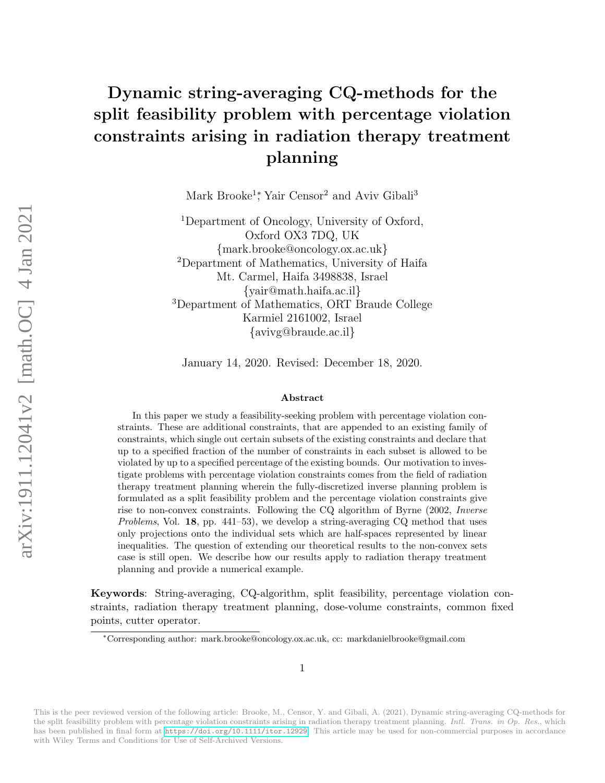# Dynamic string-averaging CQ-methods for the split feasibility problem with percentage violation constraints arising in radiation therapy treatment planning

Mark Brooke<sup>1</sup><sup>\*</sup>, Yair Censor<sup>2</sup> and Aviv Gibali<sup>3</sup>

<sup>1</sup>Department of Oncology, University of Oxford, Oxford OX3 7DQ, UK {mark.brooke@oncology.ox.ac.uk} <sup>2</sup>Department of Mathematics, University of Haifa Mt. Carmel, Haifa 3498838, Israel {yair@math.haifa.ac.il} <sup>3</sup>Department of Mathematics, ORT Braude College Karmiel 2161002, Israel {avivg@braude.ac.il}

January 14, 2020. Revised: December 18, 2020.

#### Abstract

In this paper we study a feasibility-seeking problem with percentage violation constraints. These are additional constraints, that are appended to an existing family of constraints, which single out certain subsets of the existing constraints and declare that up to a specified fraction of the number of constraints in each subset is allowed to be violated by up to a specified percentage of the existing bounds. Our motivation to investigate problems with percentage violation constraints comes from the field of radiation therapy treatment planning wherein the fully-discretized inverse planning problem is formulated as a split feasibility problem and the percentage violation constraints give rise to non-convex constraints. Following the CQ algorithm of Byrne (2002, Inverse Problems, Vol. 18, pp. 441–53), we develop a string-averaging CQ method that uses only projections onto the individual sets which are half-spaces represented by linear inequalities. The question of extending our theoretical results to the non-convex sets case is still open. We describe how our results apply to radiation therapy treatment planning and provide a numerical example. We are the self-archived as a split feathbrooks. The state of Mathematical Versions (variety)  $\frac{3}{2}$  (mathematic Mathematic Versions (variety)  $\frac{1}{2}$  (since  $\frac{1}{2}$  (since  $\frac{1}{2}$  (since  $\frac{1}{2}$  (since  $\frac{1}{2$ 

Keywords: String-averaging, CQ-algorithm, split feasibility, percentage violation constraints, radiation therapy treatment planning, dose-volume constraints, common fixed points, cutter operator.

<sup>∗</sup>Corresponding author: mark.brooke@oncology.ox.ac.uk, cc: markdanielbrooke@gmail.com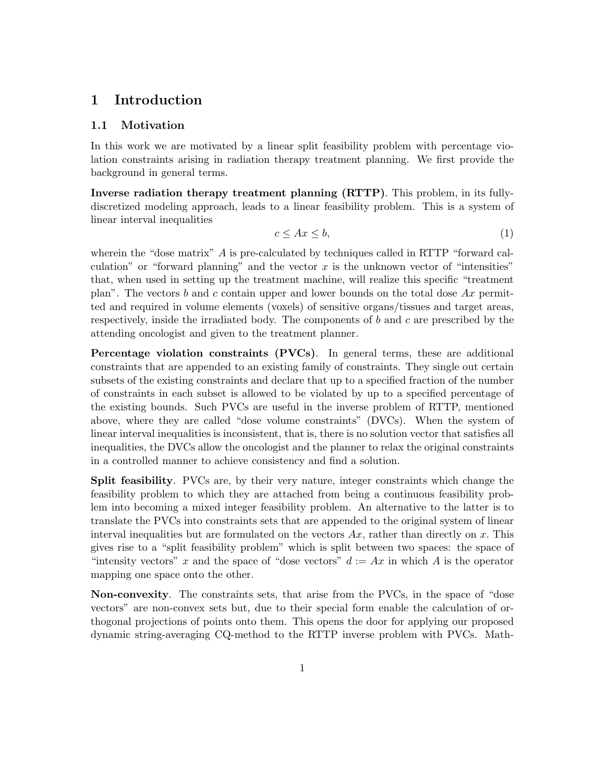# 1 Introduction

#### 1.1 Motivation

In this work we are motivated by a linear split feasibility problem with percentage violation constraints arising in radiation therapy treatment planning. We first provide the background in general terms.

Inverse radiation therapy treatment planning (RTTP). This problem, in its fullydiscretized modeling approach, leads to a linear feasibility problem. This is a system of linear interval inequalities

<span id="page-1-0"></span>
$$
c \le Ax \le b,\tag{1}
$$

wherein the "dose matrix" A is pre-calculated by techniques called in RTTP "forward calculation" or "forward planning" and the vector  $x$  is the unknown vector of "intensities" that, when used in setting up the treatment machine, will realize this specific "treatment plan". The vectors b and c contain upper and lower bounds on the total dose  $Ax$  permitted and required in volume elements (voxels) of sensitive organs/tissues and target areas, respectively, inside the irradiated body. The components of  $b$  and  $c$  are prescribed by the attending oncologist and given to the treatment planner.

Percentage violation constraints (PVCs). In general terms, these are additional constraints that are appended to an existing family of constraints. They single out certain subsets of the existing constraints and declare that up to a specified fraction of the number of constraints in each subset is allowed to be violated by up to a specified percentage of the existing bounds. Such PVCs are useful in the inverse problem of RTTP, mentioned above, where they are called "dose volume constraints" (DVCs). When the system of linear interval inequalities is inconsistent, that is, there is no solution vector that satisfies all inequalities, the DVCs allow the oncologist and the planner to relax the original constraints in a controlled manner to achieve consistency and find a solution.

Split feasibility. PVCs are, by their very nature, integer constraints which change the feasibility problem to which they are attached from being a continuous feasibility problem into becoming a mixed integer feasibility problem. An alternative to the latter is to translate the PVCs into constraints sets that are appended to the original system of linear interval inequalities but are formulated on the vectors  $Ax$ , rather than directly on x. This gives rise to a "split feasibility problem" which is split between two spaces: the space of "intensity vectors" x and the space of "dose vectors"  $d := Ax$  in which A is the operator mapping one space onto the other.

Non-convexity. The constraints sets, that arise from the PVCs, in the space of "dose vectors" are non-convex sets but, due to their special form enable the calculation of orthogonal projections of points onto them. This opens the door for applying our proposed dynamic string-averaging CQ-method to the RTTP inverse problem with PVCs. Math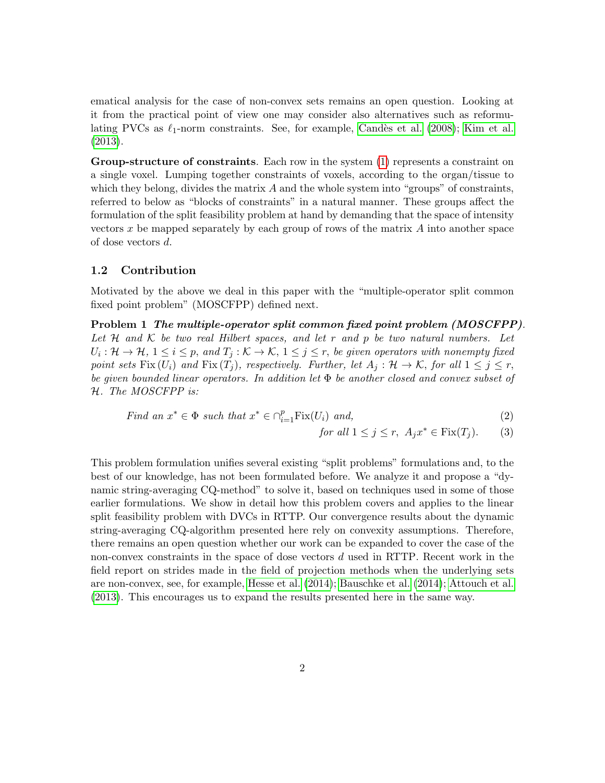ematical analysis for the case of non-convex sets remains an open question. Looking at it from the practical point of view one may consider also alternatives such as reformulating PVCs as  $\ell_1$ -norm constraints. See, for example, Candès et al. (2008); [Kim et al.](#page-28-0) [\(2013\)](#page-28-0).

Group-structure of constraints. Each row in the system [\(1\)](#page-1-0) represents a constraint on a single voxel. Lumping together constraints of voxels, according to the organ/tissue to which they belong, divides the matrix  $A$  and the whole system into "groups" of constraints, referred to below as "blocks of constraints" in a natural manner. These groups affect the formulation of the split feasibility problem at hand by demanding that the space of intensity vectors  $x$  be mapped separately by each group of rows of the matrix  $A$  into another space of dose vectors d.

#### 1.2 Contribution

Motivated by the above we deal in this paper with the "multiple-operator split common fixed point problem" (MOSCFPP) defined next.

<span id="page-2-0"></span>Problem 1 The multiple-operator split common fixed point problem (MOSCFPP). Let  $H$  and  $K$  be two real Hilbert spaces, and let  $r$  and  $p$  be two natural numbers. Let  $U_i: \mathcal{H} \to \mathcal{H}, 1 \leq i \leq p, \text{ and } T_j: \mathcal{K} \to \mathcal{K}, 1 \leq j \leq r, \text{ be given operators with nonempty fixed}$ point sets Fix  $(U_i)$  and Fix  $(T_j)$ , respectively. Further, let  $A_j : \mathcal{H} \to \mathcal{K}$ , for all  $1 \leq j \leq r$ , be given bounded linear operators. In addition let  $\Phi$  be another closed and convex subset of H. The MOSCFPP is:

Find an 
$$
x^* \in \Phi
$$
 such that  $x^* \in \bigcap_{i=1}^p \text{Fix}(U_i)$  and,  $(2)$ 

<span id="page-2-1"></span>for all 
$$
1 \le j \le r
$$
,  $A_j x^* \in \text{Fix}(T_j)$ . (3)

This problem formulation unifies several existing "split problems" formulations and, to the best of our knowledge, has not been formulated before. We analyze it and propose a "dynamic string-averaging CQ-method" to solve it, based on techniques used in some of those earlier formulations. We show in detail how this problem covers and applies to the linear split feasibility problem with DVCs in RTTP. Our convergence results about the dynamic string-averaging CQ-algorithm presented here rely on convexity assumptions. Therefore, there remains an open question whether our work can be expanded to cover the case of the non-convex constraints in the space of dose vectors d used in RTTP. Recent work in the field report on strides made in the field of projection methods when the underlying sets are non-convex, see, for example, [Hesse et al. \(2014\)](#page-28-1); [Bauschke et al. \(2014\)](#page-26-0); [Attouch et al.](#page-26-1) [\(2013\)](#page-26-1). This encourages us to expand the results presented here in the same way.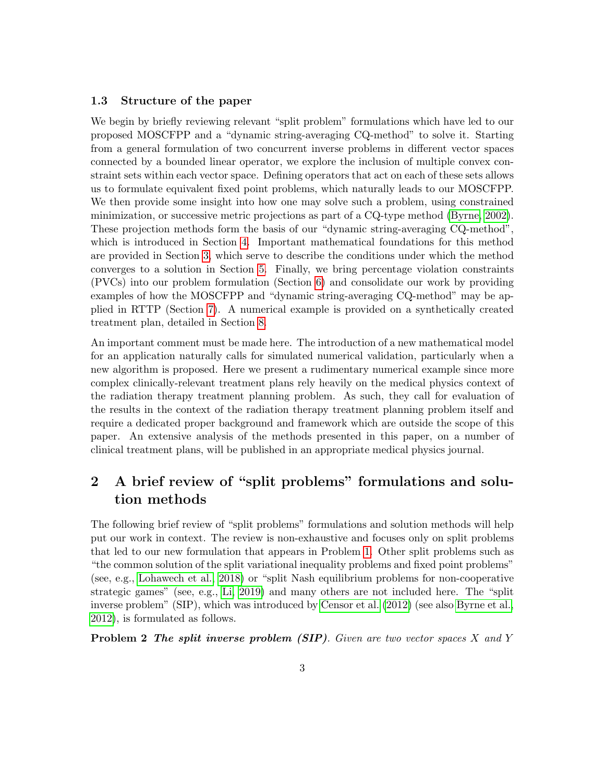#### <span id="page-3-0"></span>1.3 Structure of the paper

We begin by briefly reviewing relevant "split problem" formulations which have led to our proposed MOSCFPP and a "dynamic string-averaging CQ-method" to solve it. Starting from a general formulation of two concurrent inverse problems in different vector spaces connected by a bounded linear operator, we explore the inclusion of multiple convex constraint sets within each vector space. Defining operators that act on each of these sets allows us to formulate equivalent fixed point problems, which naturally leads to our MOSCFPP. We then provide some insight into how one may solve such a problem, using constrained minimization, or successive metric projections as part of a CQ-type method [\(Byrne, 2002\)](#page-27-1). These projection methods form the basis of our "dynamic string-averaging CQ-method", which is introduced in Section [4.](#page-8-0) Important mathematical foundations for this method are provided in Section [3,](#page-6-0) which serve to describe the conditions under which the method converges to a solution in Section [5.](#page-10-0) Finally, we bring percentage violation constraints (PVCs) into our problem formulation (Section [6\)](#page-15-0) and consolidate our work by providing examples of how the MOSCFPP and "dynamic string-averaging CQ-method" may be applied in RTTP (Section [7\)](#page-17-0). A numerical example is provided on a synthetically created treatment plan, detailed in Section [8.](#page-19-0)

An important comment must be made here. The introduction of a new mathematical model for an application naturally calls for simulated numerical validation, particularly when a new algorithm is proposed. Here we present a rudimentary numerical example since more complex clinically-relevant treatment plans rely heavily on the medical physics context of the radiation therapy treatment planning problem. As such, they call for evaluation of the results in the context of the radiation therapy treatment planning problem itself and require a dedicated proper background and framework which are outside the scope of this paper. An extensive analysis of the methods presented in this paper, on a number of clinical treatment plans, will be published in an appropriate medical physics journal.

# 2 A brief review of "split problems" formulations and solution methods

The following brief review of "split problems" formulations and solution methods will help put our work in context. The review is non-exhaustive and focuses only on split problems that led to our new formulation that appears in Problem [1.](#page-2-0) Other split problems such as "the common solution of the split variational inequality problems and fixed point problems" (see, e.g., [Lohawech et al., 2018\)](#page-28-2) or "split Nash equilibrium problems for non-cooperative strategic games" (see, e.g., [Li, 2019\)](#page-28-3) and many others are not included here. The "split inverse problem" (SIP), which was introduced by [Censor et al. \(2012\)](#page-27-2) (see also [Byrne et al.,](#page-27-3) [2012\)](#page-27-3), is formulated as follows.

**Problem 2** The split inverse problem  $(SIP)$ . Given are two vector spaces X and Y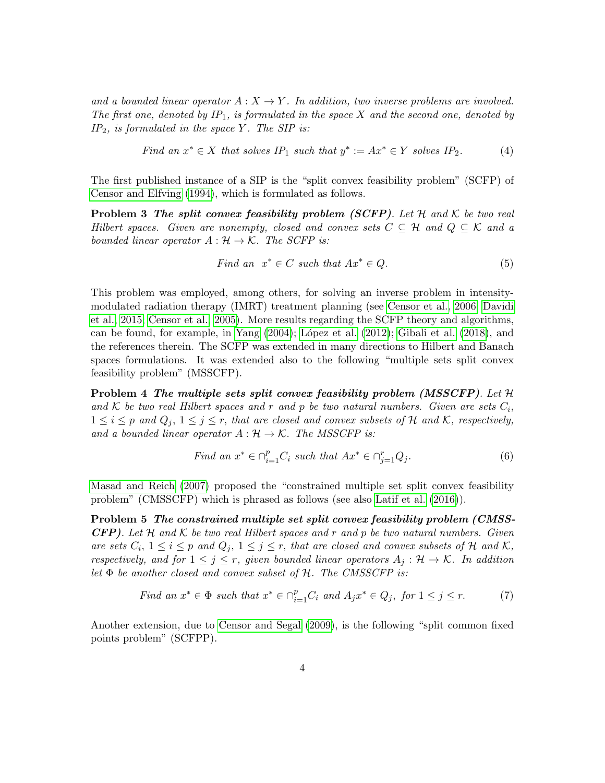and a bounded linear operator  $A: X \to Y$ . In addition, two inverse problems are involved. The first one, denoted by  $IP_1$ , is formulated in the space X and the second one, denoted by  $IP_2$ , is formulated in the space Y. The SIP is:

Find an 
$$
x^* \in X
$$
 that solves IP<sub>1</sub> such that  $y^* := Ax^* \in Y$  solves IP<sub>2</sub>. (4)

The first published instance of a SIP is the "split convex feasibility problem" (SCFP) of [Censor and Elfving \(1994\)](#page-27-4), which is formulated as follows.

<span id="page-4-0"></span>**Problem 3 The split convex feasibility problem (SCFP).** Let H and K be two real Hilbert spaces. Given are nonempty, closed and convex sets  $C \subseteq \mathcal{H}$  and  $Q \subseteq \mathcal{K}$  and a bounded linear operator  $A : \mathcal{H} \to \mathcal{K}$ . The SCFP is:

Find an 
$$
x^* \in C
$$
 such that  $Ax^* \in Q$ . (5)

This problem was employed, among others, for solving an inverse problem in intensitymodulated radiation therapy (IMRT) treatment planning (see [Censor et al., 2006;](#page-27-5) [Davidi](#page-28-4) [et al., 2015;](#page-28-4) [Censor et al., 2005\)](#page-27-6). More results regarding the SCFP theory and algorithms, can be found, for example, in Yang  $(2004)$ ; López et al.  $(2012)$ ; Gibali et al.  $(2018)$ , and the references therein. The SCFP was extended in many directions to Hilbert and Banach spaces formulations. It was extended also to the following "multiple sets split convex feasibility problem" (MSSCFP).

<span id="page-4-2"></span>Problem 4 The multiple sets split convex feasibility problem (MSSCFP). Let H and K be two real Hilbert spaces and r and p be two natural numbers. Given are sets  $C_i$ ,  $1 \leq i \leq p$  and  $Q_i$ ,  $1 \leq j \leq r$ , that are closed and convex subsets of H and K, respectively, and a bounded linear operator  $A : \mathcal{H} \to \mathcal{K}$ . The MSSCFP is:

Find an 
$$
x^* \in \bigcap_{i=1}^p C_i
$$
 such that  $Ax^* \in \bigcap_{j=1}^r Q_j$ . (6)

[Masad and Reich \(2007\)](#page-29-1) proposed the "constrained multiple set split convex feasibility problem" (CMSSCFP) which is phrased as follows (see also [Latif et al. \(2016\)](#page-28-7)).

<span id="page-4-3"></span>Problem 5 The constrained multiple set split convex feasibility problem (CMSS-**CFP**). Let  $H$  and  $K$  be two real Hilbert spaces and r and p be two natural numbers. Given are sets  $C_i$ ,  $1 \le i \le p$  and  $Q_j$ ,  $1 \le j \le r$ , that are closed and convex subsets of H and K, respectively, and for  $1 \leq j \leq r$ , given bounded linear operators  $A_j : \mathcal{H} \to \mathcal{K}$ . In addition let  $\Phi$  be another closed and convex subset of  $\mathcal{H}$ . The CMSSCFP is:

Find an 
$$
x^* \in \Phi
$$
 such that  $x^* \in \bigcap_{i=1}^p C_i$  and  $A_j x^* \in Q_j$ , for  $1 \le j \le r$ . (7)

<span id="page-4-1"></span>Another extension, due to [Censor and Segal \(2009\)](#page-27-7), is the following "split common fixed points problem" (SCFPP).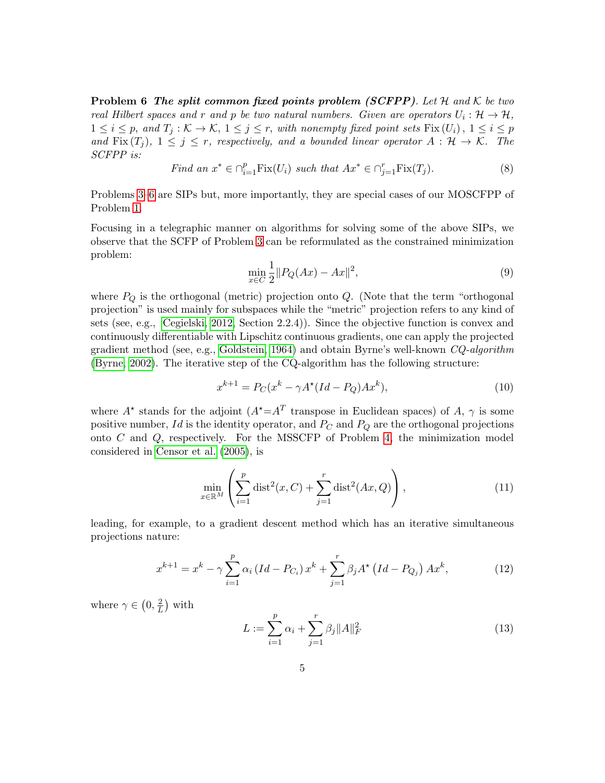**Problem 6** The split common fixed points problem (SCFPP). Let H and K be two real Hilbert spaces and r and p be two natural numbers. Given are operators  $U_i: \mathcal{H} \to \mathcal{H}$ ,  $1 \leq i \leq p$ , and  $T_j : \mathcal{K} \to \mathcal{K}$ ,  $1 \leq j \leq r$ , with nonempty fixed point sets  $Fix(U_i)$ ,  $1 \leq i \leq p$ and Fix  $(T_i)$ ,  $1 \leq j \leq r$ , respectively, and a bounded linear operator  $A : \mathcal{H} \to \mathcal{K}$ . The SCFPP is:

Find an 
$$
x^* \in \bigcap_{i=1}^p \text{Fix}(U_i)
$$
 such that  $Ax^* \in \bigcap_{j=1}^r \text{Fix}(T_j)$ . (8)

Problems [3](#page-4-0)[–6](#page-4-1) are SIPs but, more importantly, they are special cases of our MOSCFPP of Problem [1.](#page-2-0)

Focusing in a telegraphic manner on algorithms for solving some of the above SIPs, we observe that the SCFP of Problem [3](#page-4-0) can be reformulated as the constrained minimization problem:

$$
\min_{x \in C} \frac{1}{2} \| P_Q(Ax) - Ax \|^2,\tag{9}
$$

where  $P_Q$  is the orthogonal (metric) projection onto  $Q$ . (Note that the term "orthogonal projection" is used mainly for subspaces while the "metric" projection refers to any kind of sets (see, e.g., [Cegielski, 2012,](#page-27-8) Section 2.2.4)). Since the objective function is convex and continuously differentiable with Lipschitz continuous gradients, one can apply the projected gradient method (see, e.g., [Goldstein, 1964\)](#page-28-8) and obtain Byrne's well-known CQ-algorithm [\(Byrne, 2002\)](#page-27-1). The iterative step of the CQ-algorithm has the following structure:

$$
x^{k+1} = P_C(x^k - \gamma A^\star (Id - P_Q)Ax^k),\tag{10}
$$

where  $A^*$  stands for the adjoint  $(A^* = A^T$  transpose in Euclidean spaces) of A,  $\gamma$  is some positive number, Id is the identity operator, and  $P_C$  and  $P_Q$  are the orthogonal projections onto C and Q, respectively. For the MSSCFP of Problem [4,](#page-4-2) the minimization model considered in [Censor et al. \(2005\)](#page-27-6), is

$$
\min_{x \in \mathbb{R}^M} \left( \sum_{i=1}^p \text{dist}^2(x, C) + \sum_{j=1}^r \text{dist}^2(Ax, Q) \right),\tag{11}
$$

leading, for example, to a gradient descent method which has an iterative simultaneous projections nature:

$$
x^{k+1} = x^k - \gamma \sum_{i=1}^p \alpha_i (Id - P_{C_i}) x^k + \sum_{j=1}^r \beta_j A^* (Id - P_{Q_j}) A x^k, \qquad (12)
$$

where  $\gamma \in (0, \frac{2}{l})$  $\frac{2}{L}$ ) with

$$
L := \sum_{i=1}^{p} \alpha_i + \sum_{j=1}^{r} \beta_j ||A||_F^2
$$
 (13)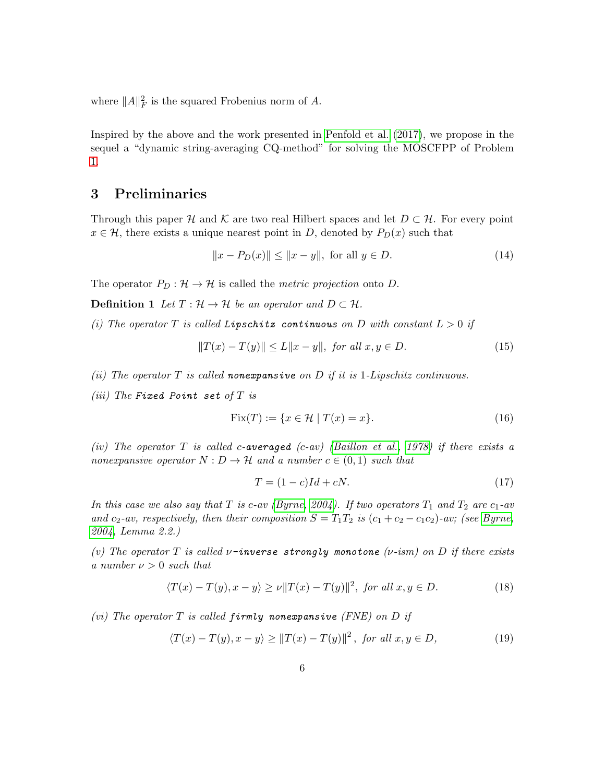where  $||A||_F^2$  is the squared Frobenius norm of A.

Inspired by the above and the work presented in [Penfold et al. \(2017\)](#page-29-2), we propose in the sequel a "dynamic string-averaging CQ-method" for solving the MOSCFPP of Problem [1.](#page-2-0)

# <span id="page-6-0"></span>3 Preliminaries

Through this paper H and K are two real Hilbert spaces and let  $D \subset \mathcal{H}$ . For every point  $x \in \mathcal{H}$ , there exists a unique nearest point in D, denoted by  $P_D(x)$  such that

$$
||x - P_D(x)|| \le ||x - y||, \text{ for all } y \in D.
$$
 (14)

The operator  $P_D : \mathcal{H} \to \mathcal{H}$  is called the *metric projection* onto D.

**Definition 1** Let  $T : \mathcal{H} \to \mathcal{H}$  be an operator and  $D \subset \mathcal{H}$ .

(i) The operator T is called Lipschitz continuous on D with constant  $L > 0$  if

$$
||T(x) - T(y)|| \le L||x - y||, \text{ for all } x, y \in D.
$$
 (15)

- (ii) The operator  $T$  is called nonexpansive on  $D$  if it is 1-Lipschitz continuous.
- (iii) The Fixed Point set of  $T$  is

$$
\text{Fix}(T) := \{ x \in \mathcal{H} \mid T(x) = x \}. \tag{16}
$$

(iv) The operator T is called c-averaged (c-av) [\(Baillon et al., 1978\)](#page-26-2) if there exists a nonexpansive operator  $N : D \to \mathcal{H}$  and a number  $c \in (0,1)$  such that

$$
T = (1 - c)Id + cN.
$$
\n<sup>(17)</sup>

In this case we also say that T is c-av [\(Byrne, 2004\)](#page-27-9). If two operators  $T_1$  and  $T_2$  are  $c_1$ -av and c<sub>2</sub>-av, respectively, then their composition  $S = T_1T_2$  is  $(c_1 + c_2 - c_1c_2)$ -av; (see [Byrne,](#page-27-9) [2004,](#page-27-9) Lemma 2.2.)

(v) The operator T is called  $\nu$ -inverse strongly monotone ( $\nu$ -ism) on D if there exists a number  $\nu > 0$  such that

$$
\langle T(x) - T(y), x - y \rangle \ge \nu ||T(x) - T(y)||^2, \text{ for all } x, y \in D. \tag{18}
$$

(vi) The operator T is called firmly nonexpansive (FNE) on D if

$$
\langle T(x) - T(y), x - y \rangle \ge ||T(x) - T(y)||^2, \text{ for all } x, y \in D,
$$
\n
$$
(19)
$$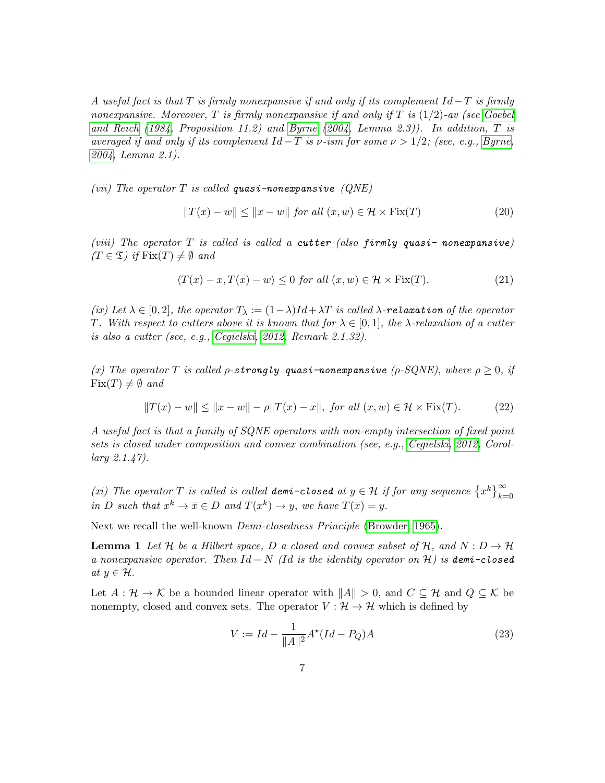A useful fact is that T is firmly nonexpansive if and only if its complement  $Id-T$  is firmly nonexpansive. Moreover, T is firmly nonexpansive if and only if T is  $(1/2)$ -av (see [Goebel](#page-28-9) [and Reich](#page-28-9) [\(1984,](#page-28-9) Proposition 11.2) and [Byrne](#page-27-9) [\(2004,](#page-27-9) Lemma 2.3)). In addition, T is averaged if and only if its complement  $Id-T$  is v-ism for some  $\nu > 1/2$ ; (see, e.g., [Byrne,](#page-27-9) [2004,](#page-27-9) Lemma 2.1).

(vii) The operator T is called quasi-nonexpansive  $(QNE)$ 

$$
||T(x) - w|| \le ||x - w|| \text{ for all } (x, w) \in \mathcal{H} \times \text{Fix}(T)
$$
 (20)

(viii) The operator  $T$  is called is called a cutter (also firmly quasi- nonexpansive)  $(T \in \mathfrak{T})$  if  $\text{Fix}(T) \neq \emptyset$  and

$$
\langle T(x) - x, T(x) - w \rangle \le 0 \text{ for all } (x, w) \in \mathcal{H} \times \text{Fix}(T). \tag{21}
$$

(ix) Let  $\lambda \in [0,2]$ , the operator  $T_{\lambda} := (1-\lambda)Id + \lambda T$  is called  $\lambda$ -relaxation of the operator T. With respect to cutters above it is known that for  $\lambda \in [0,1]$ , the  $\lambda$ -relaxation of a cutter is also a cutter (see, e.g., [Cegielski, 2012,](#page-27-8) Remark 2.1.32).

(x) The operator T is called  $\rho$ -strongly quasi-nonexpansive ( $\rho$ -SQNE), where  $\rho \geq 0$ , if  $Fix(T) \neq \emptyset$  and

$$
||T(x) - w|| \le ||x - w|| - \rho||T(x) - x||, \text{ for all } (x, w) \in \mathcal{H} \times \text{Fix}(T). \tag{22}
$$

A useful fact is that a family of SQNE operators with non-empty intersection of fixed point sets is closed under composition and convex combination (see, e.g., [Cegielski, 2012,](#page-27-8) Corollary 2.1.47).

(xi) The operator T is called is called **demi-closed** at  $y \in \mathcal{H}$  if for any sequence  $\{x^k\}_{k=0}^{\infty}$ in D such that  $x^k \to \overline{x} \in D$  and  $T(x^k) \to y$ , we have  $T(\overline{x}) = y$ .

Next we recall the well-known *Demi-closedness Principle* [\(Browder, 1965\)](#page-27-10).

**Lemma 1** Let H be a Hilbert space, D a closed and convex subset of H, and  $N: D \to H$ a nonexpansive operator. Then  $Id - N$  (Id is the identity operator on H) is demi-closed at  $y \in \mathcal{H}$ .

Let  $A : \mathcal{H} \to \mathcal{K}$  be a bounded linear operator with  $||A|| > 0$ , and  $C \subseteq \mathcal{H}$  and  $Q \subseteq \mathcal{K}$  be nonempty, closed and convex sets. The operator  $V : \mathcal{H} \to \mathcal{H}$  which is defined by

<span id="page-7-0"></span>
$$
V := Id - \frac{1}{\|A\|^2} A^*(Id - P_Q)A
$$
\n(23)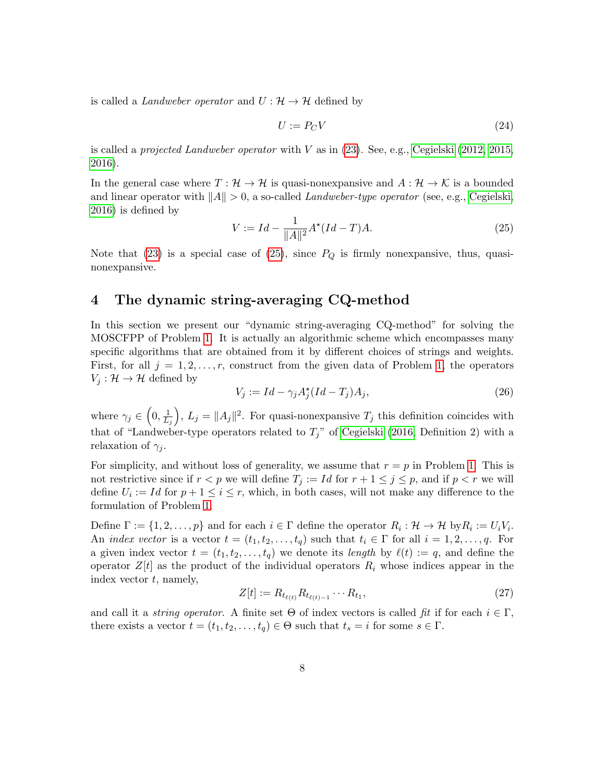is called a *Landweber operator* and  $U: \mathcal{H} \to \mathcal{H}$  defined by

$$
U := P_C V \tag{24}
$$

is called a *projected Landweber operator* with  $V$  as in  $(23)$ . See, e.g., Cegielski  $(2012, 2015,$  $(2012, 2015,$ [2016\)](#page-27-12).

In the general case where  $T : \mathcal{H} \to \mathcal{H}$  is quasi-nonexpansive and  $A : \mathcal{H} \to \mathcal{K}$  is a bounded and linear operator with  $||A|| > 0$ , a so-called Landweber-type operator (see, e.g., [Cegielski,](#page-27-12) [2016\)](#page-27-12) is defined by

<span id="page-8-1"></span>
$$
V := Id - \frac{1}{\|A\|^2} A^\star (Id - T) A. \tag{25}
$$

Note that [\(23\)](#page-7-0) is a special case of [\(25\)](#page-8-1), since  $P_Q$  is firmly nonexpansive, thus, quasinonexpansive.

# <span id="page-8-0"></span>4 The dynamic string-averaging CQ-method

In this section we present our "dynamic string-averaging CQ-method" for solving the MOSCFPP of Problem [1.](#page-2-0) It is actually an algorithmic scheme which encompasses many specific algorithms that are obtained from it by different choices of strings and weights. First, for all  $j = 1, 2, \ldots, r$  $j = 1, 2, \ldots, r$  $j = 1, 2, \ldots, r$ , construct from the given data of Problem 1, the operators  $V_i: \mathcal{H} \to \mathcal{H}$  defined by

<span id="page-8-2"></span>
$$
V_j := Id - \gamma_j A_j^{\star} (Id - T_j) A_j, \qquad (26)
$$

where  $\gamma_j \in \left(0, \frac{1}{L}\right)$  $L_j$ ,  $L_j = ||A_j||^2$ . For quasi-nonexpansive  $T_j$  this definition coincides with that of "Landweber-type operators related to  $T_j$ " of [Cegielski \(2016,](#page-27-12) Definition 2) with a relaxation of  $\gamma_i$ .

For simplicity, and without loss of generality, we assume that  $r = p$  in Problem [1.](#page-2-0) This is not restrictive since if  $r < p$  we will define  $T_j := Id$  for  $r + 1 \le j \le p$ , and if  $p < r$  we will define  $U_i := Id$  for  $p + 1 \leq i \leq r$ , which, in both cases, will not make any difference to the formulation of Problem [1.](#page-2-0)

Define  $\Gamma := \{1, 2, \ldots, p\}$  and for each  $i \in \Gamma$  define the operator  $R_i : \mathcal{H} \to \mathcal{H}$  by  $R_i := U_i V_i$ . An *index vector* is a vector  $t = (t_1, t_2, \ldots, t_q)$  such that  $t_i \in \Gamma$  for all  $i = 1, 2, \ldots, q$ . For a given index vector  $t = (t_1, t_2, \ldots, t_q)$  we denote its length by  $\ell(t) := q$ , and define the operator  $Z[t]$  as the product of the individual operators  $R_i$  whose indices appear in the index vector  $t$ , namely,

$$
Z[t] := R_{t_{\ell(t)}} R_{t_{\ell(t)-1}} \cdots R_{t_1},\tag{27}
$$

and call it a *string operator*. A finite set  $\Theta$  of index vectors is called fit if for each  $i \in \Gamma$ , there exists a vector  $t = (t_1, t_2, \ldots, t_q) \in \Theta$  such that  $t_s = i$  for some  $s \in \Gamma$ .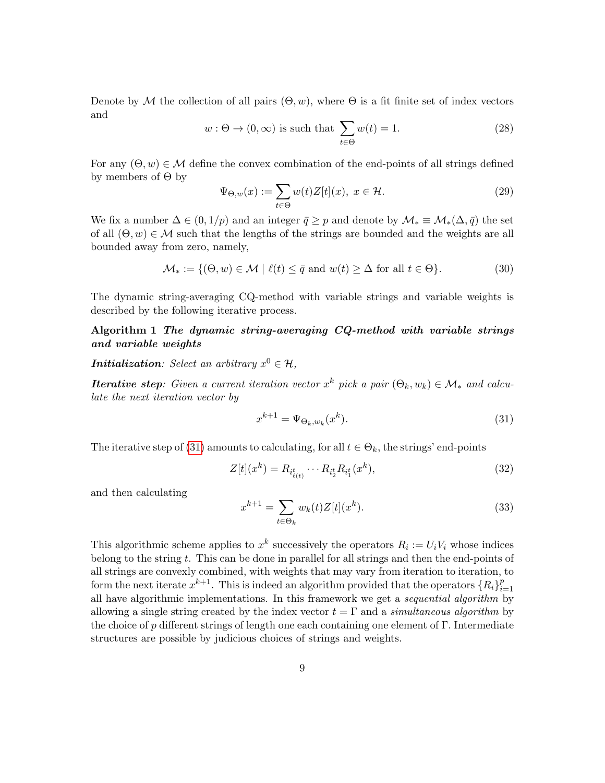Denote by M the collection of all pairs  $(\Theta, w)$ , where  $\Theta$  is a fit finite set of index vectors and

$$
w: \Theta \to (0, \infty) \text{ is such that } \sum_{t \in \Theta} w(t) = 1. \tag{28}
$$

For any  $(\Theta, w) \in \mathcal{M}$  define the convex combination of the end-points of all strings defined by members of Θ by

$$
\Psi_{\Theta,w}(x) := \sum_{t \in \Theta} w(t) Z[t](x), \ x \in \mathcal{H}.
$$
\n(29)

We fix a number  $\Delta \in (0, 1/p)$  and an integer  $\bar{q} \geq p$  and denote by  $\mathcal{M}_* \equiv \mathcal{M}_*(\Delta, \bar{q})$  the set of all  $(\Theta, w) \in \mathcal{M}$  such that the lengths of the strings are bounded and the weights are all bounded away from zero, namely,

<span id="page-9-2"></span>
$$
\mathcal{M}_* := \{ (\Theta, w) \in \mathcal{M} \mid \ell(t) \le \bar{q} \text{ and } w(t) \ge \Delta \text{ for all } t \in \Theta \}. \tag{30}
$$

The dynamic string-averaging CQ-method with variable strings and variable weights is described by the following iterative process.

#### <span id="page-9-1"></span>Algorithm 1 The dynamic string-averaging CQ-method with variable strings and variable weights

**Initialization**: Select an arbitrary  $x^0 \in \mathcal{H}$ ,

**Iterative step**: Given a current iteration vector  $x^k$  pick a pair  $(\Theta_k, w_k) \in \mathcal{M}_*$  and calculate the next iteration vector by

<span id="page-9-0"></span>
$$
x^{k+1} = \Psi_{\Theta_k, w_k}(x^k). \tag{31}
$$

The iterative step of [\(31\)](#page-9-0) amounts to calculating, for all  $t \in \Theta_k$ , the strings' end-points

$$
Z[t](x^k) = R_{i^t_{\ell(t)}} \cdots R_{i^t_2} R_{i^t_1}(x^k),
$$
\n(32)

and then calculating

<span id="page-9-3"></span>
$$
x^{k+1} = \sum_{t \in \Theta_k} w_k(t) Z[t](x^k).
$$
 (33)

This algorithmic scheme applies to  $x^k$  successively the operators  $R_i := U_i V_i$  whose indices belong to the string t. This can be done in parallel for all strings and then the end-points of all strings are convexly combined, with weights that may vary from iteration to iteration, to form the next iterate  $x^{k+1}$ . This is indeed an algorithm provided that the operators  $\{R_i\}_{i=1}^p$  $i=1$ all have algorithmic implementations. In this framework we get a sequential algorithm by allowing a single string created by the index vector  $t = \Gamma$  and a simultaneous algorithm by the choice of p different strings of length one each containing one element of Γ. Intermediate structures are possible by judicious choices of strings and weights.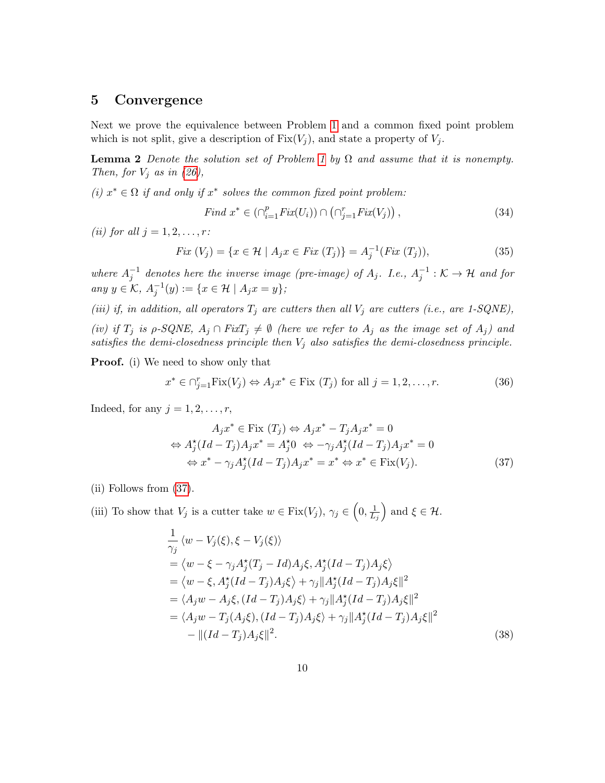### <span id="page-10-0"></span>5 Convergence

Next we prove the equivalence between Problem [1](#page-2-0) and a common fixed point problem which is not split, give a description of  $Fix(V_i)$ , and state a property of  $V_i$ .

<span id="page-10-2"></span>**Lemma 2** Denote the solution set of Problem [1](#page-2-0) by  $\Omega$  and assume that it is nonempty. Then, for  $V_j$  as in [\(26\)](#page-8-2),

(i)  $x^* \in \Omega$  if and only if  $x^*$  solves the common fixed point problem:

$$
Find \; x^* \in (\cap_{i=1}^p Fix(U_i)) \cap (\cap_{j=1}^r Fix(V_j)), \tag{34}
$$

(ii) for all  $j = 1, 2, \ldots, r$ :

$$
Fix\ (V_j) = \{x \in \mathcal{H} \mid A_j x \in Fix\ (T_j)\} = A_j^{-1}(Fix\ (T_j)),\tag{35}
$$

where  $A_j^{-1}$  denotes here the inverse image (pre-image) of  $A_j$ . I.e.,  $A_j^{-1}$ :  $K \to \mathcal{H}$  and for any  $y \in K$ ,  $A_j^{-1}(y) := \{ x \in \mathcal{H} \mid A_j x = y \}$ ;

(iii) if, in addition, all operators  $T_j$  are cutters then all  $V_j$  are cutters (i.e., are 1-SQNE), (iv) if  $T_j$  is  $\rho$ -SQNE,  $A_j \cap FixT_j \neq \emptyset$  (here we refer to  $A_j$  as the image set of  $A_j$ ) and satisfies the demi-closedness principle then  $V_i$  also satisfies the demi-closedness principle.

**Proof.** (i) We need to show only that

$$
x^* \in \bigcap_{j=1}^r \text{Fix}(V_j) \Leftrightarrow A_j x^* \in \text{Fix}(T_j) \text{ for all } j = 1, 2, \dots, r. \tag{36}
$$

Indeed, for any  $j = 1, 2, \ldots, r$ ,

<span id="page-10-1"></span>
$$
A_j x^* \in \text{Fix } (T_j) \Leftrightarrow A_j x^* - T_j A_j x^* = 0
$$
  
\n
$$
\Leftrightarrow A_j^*(Id - T_j) A_j x^* = A_j^* 0 \Leftrightarrow -\gamma_j A_j^* (Id - T_j) A_j x^* = 0
$$
  
\n
$$
\Leftrightarrow x^* - \gamma_j A_j^* (Id - T_j) A_j x^* = x^* \Leftrightarrow x^* \in \text{Fix}(V_j).
$$
\n(37)

(ii) Follows from [\(37\)](#page-10-1).

(iii) To show that  $V_j$  is a cutter take  $w \in \text{Fix}(V_j)$ ,  $\gamma_j \in \left(0, \frac{1}{L}\right)$  $L_j$ ) and  $\xi \in \mathcal{H}$ .

$$
\frac{1}{\gamma_j} \langle w - V_j(\xi), \xi - V_j(\xi) \rangle \n= \langle w - \xi - \gamma_j A_j^*(T_j - Id) A_j \xi, A_j^*(Id - T_j) A_j \xi \rangle \n= \langle w - \xi, A_j^*(Id - T_j) A_j \xi \rangle + \gamma_j ||A_j^*(Id - T_j) A_j \xi||^2 \n= \langle A_j w - A_j \xi, (Id - T_j) A_j \xi \rangle + \gamma_j ||A_j^*(Id - T_j) A_j \xi||^2 \n= \langle A_j w - T_j (A_j \xi), (Id - T_j) A_j \xi \rangle + \gamma_j ||A_j^*(Id - T_j) A_j \xi||^2 \n- ||(Id - T_j) A_j \xi||^2.
$$
\n(38)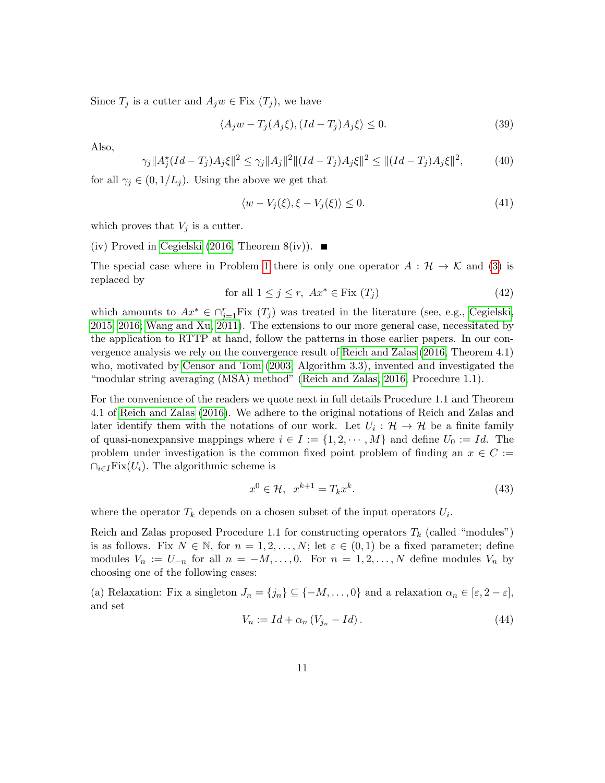Since  $T_j$  is a cutter and  $A_j w \in \text{Fix } (T_j)$ , we have

$$
\langle A_j w - T_j (A_j \xi), (Id - T_j) A_j \xi \rangle \le 0.
$$
\n(39)

Also,

$$
\gamma_j \|A_j^*(Id - T_j)A_j \xi\|^2 \le \gamma_j \|A_j\|^2 \|(Id - T_j)A_j \xi\|^2 \le \|(Id - T_j)A_j \xi\|^2,\tag{40}
$$

for all  $\gamma_j \in (0, 1/L_j)$ . Using the above we get that

$$
\langle w - V_j(\xi), \xi - V_j(\xi) \rangle \le 0. \tag{41}
$$

which proves that  $V_j$  is a cutter.

(iv) Proved in [Cegielski \(2016,](#page-27-12) Theorem 8(iv)).  $\blacksquare$ 

The special case where in Problem [1](#page-2-0) there is only one operator  $A : \mathcal{H} \to \mathcal{K}$  and [\(3\)](#page-2-1) is replaced by

$$
\text{for all } 1 \le j \le r, \ Ax^* \in \text{Fix } (T_j) \tag{42}
$$

which amounts to  $Ax^* \in \bigcap_{j=1}^r \text{Fix}(T_j)$  was treated in the literature (see, e.g., [Cegielski,](#page-27-11) [2015,](#page-27-11) [2016;](#page-27-12) [Wang and Xu, 2011\)](#page-29-3). The extensions to our more general case, necessitated by the application to RTTP at hand, follow the patterns in those earlier papers. In our convergence analysis we rely on the convergence result of [Reich and Zalas \(2016,](#page-29-4) Theorem 4.1) who, motivated by [Censor and Tom \(2003,](#page-28-10) Algorithm 3.3), invented and investigated the "modular string averaging (MSA) method" [\(Reich and Zalas, 2016,](#page-29-4) Procedure 1.1).

For the convenience of the readers we quote next in full details Procedure 1.1 and Theorem 4.1 of [Reich and Zalas \(2016\)](#page-29-4). We adhere to the original notations of Reich and Zalas and later identify them with the notations of our work. Let  $U_i: \mathcal{H} \to \mathcal{H}$  be a finite family of quasi-nonexpansive mappings where  $i \in I := \{1, 2, \dots, M\}$  and define  $U_0 := Id$ . The problem under investigation is the common fixed point problem of finding an  $x \in C :=$  $\bigcap_{i\in I} \text{Fix}(U_i)$ . The algorithmic scheme is

$$
x^0 \in \mathcal{H}, \quad x^{k+1} = T_k x^k. \tag{43}
$$

where the operator  $T_k$  depends on a chosen subset of the input operators  $U_i$ .

Reich and Zalas proposed Procedure 1.1 for constructing operators  $T_k$  (called "modules") is as follows. Fix  $N \in \mathbb{N}$ , for  $n = 1, 2, ..., N$ ; let  $\varepsilon \in (0, 1)$  be a fixed parameter; define modules  $V_n := U_{-n}$  for all  $n = -M, \ldots, 0$ . For  $n = 1, 2, \ldots, N$  define modules  $V_n$  by choosing one of the following cases:

(a) Relaxation: Fix a singleton  $J_n = \{j_n\} \subseteq \{-M, \ldots, 0\}$  and a relaxation  $\alpha_n \in [\varepsilon, 2 - \varepsilon],$ and set

$$
V_n := Id + \alpha_n \left( V_{j_n} - Id \right). \tag{44}
$$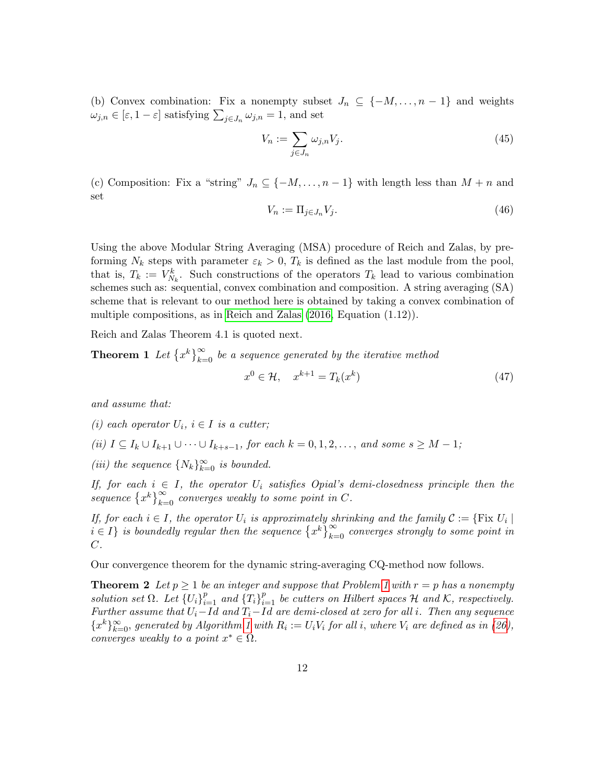(b) Convex combination: Fix a nonempty subset  $J_n \subseteq \{-M, \ldots, n-1\}$  and weights  $\omega_{j,n} \in [\varepsilon, 1-\varepsilon]$  satisfying  $\sum_{j \in J_n} \omega_{j,n} = 1$ , and set

$$
V_n := \sum_{j \in J_n} \omega_{j,n} V_j. \tag{45}
$$

(c) Composition: Fix a "string"  $J_n \subseteq \{-M, \ldots, n-1\}$  with length less than  $M + n$  and set

$$
V_n := \Pi_{j \in J_n} V_j. \tag{46}
$$

Using the above Modular String Averaging (MSA) procedure of Reich and Zalas, by preforming  $N_k$  steps with parameter  $\varepsilon_k > 0$ ,  $T_k$  is defined as the last module from the pool, that is,  $T_k := V_{N_k}^k$ . Such constructions of the operators  $T_k$  lead to various combination schemes such as: sequential, convex combination and composition. A string averaging (SA) scheme that is relevant to our method here is obtained by taking a convex combination of multiple compositions, as in [Reich and Zalas \(2016,](#page-29-4) Equation (1.12)).

Reich and Zalas Theorem 4.1 is quoted next.

**Theorem 1** Let  $\{x^k\}_{k=0}^{\infty}$  be a sequence generated by the iterative method

$$
x^0 \in \mathcal{H}, \quad x^{k+1} = T_k(x^k) \tag{47}
$$

and assume that:

(i) each operator  $U_i$ ,  $i \in I$  is a cutter;

(ii) 
$$
I \subseteq I_k \cup I_{k+1} \cup \cdots \cup I_{k+s-1}
$$
, for each  $k = 0, 1, 2, \ldots$ , and some  $s \geq M - 1$ ;

(iii) the sequence  $\{N_k\}_{k=0}^{\infty}$  is bounded.

If, for each  $i \in I$ , the operator  $U_i$  satisfies Opial's demi-closedness principle then the sequence  $\{x^k\}_{k=0}^{\infty}$  converges weakly to some point in C.

If, for each  $i \in I$ , the operator  $U_i$  is approximately shrinking and the family  $\mathcal{C} := \{ \text{Fix } U_i \mid$  $i \in I$  is boundedly regular then the sequence  $\{x^k\}_{k=0}^{\infty}$  converges strongly to some point in  $C$ .

Our convergence theorem for the dynamic string-averaging CQ-method now follows.

**Theorem 2** Let  $p \ge 1$  $p \ge 1$  be an integer and suppose that Problem 1 with  $r = p$  has a nonempty solution set  $\Omega$ . Let  $\{U_i\}_{i=1}^p$  and  $\{T_i\}_{i=1}^p$  be cutters on Hilbert spaces  $\mathcal H$  and  $\mathcal K$ , respectively. Further assume that  $U_i$ –Id and  $T_i$ –Id are demi-closed at zero for all i. Then any sequence  ${x^k}_{k=0}^{\infty}$ , generated by Algorithm [1](#page-9-1) with  $R_i := U_i V_i$  for all i, where  $V_i$  are defined as in [\(26\)](#page-8-2), converges weakly to a point  $x^* \in \Omega$ .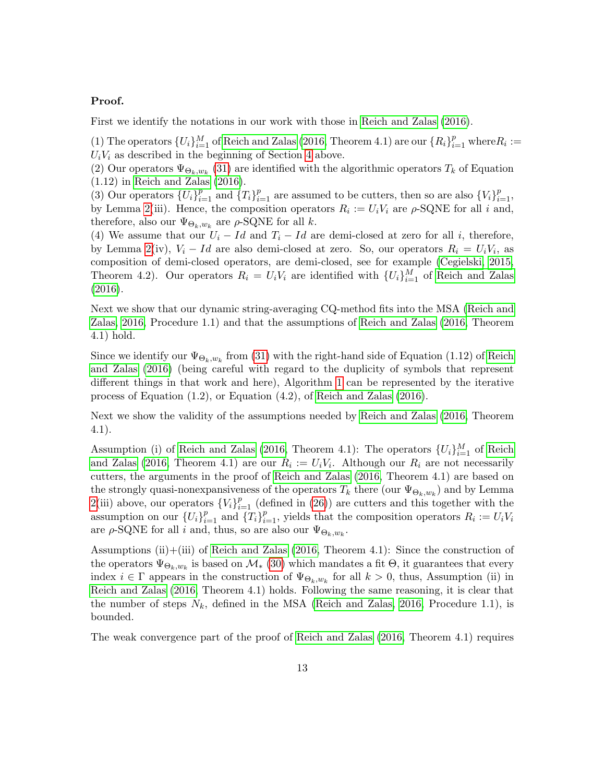#### Proof.

First we identify the notations in our work with those in [Reich and Zalas \(2016\)](#page-29-4).

(1) The operators  $\{U_i\}_{i=1}^M$  of [Reich and Zalas \(2016,](#page-29-4) Theorem 4.1) are our  $\{R_i\}_{i=1}^p$  where  $R_i :=$  $U_iV_i$  as described in the beginning of Section [4](#page-8-0) above.

(2) Our operators  $\Psi_{\Theta_k, w_k}$  [\(31\)](#page-9-0) are identified with the algorithmic operators  $T_k$  of Equation (1.12) in [Reich and Zalas \(2016\)](#page-29-4).

(3) Our operators  $\{U_i\}_{i=1}^p$  and  $\{T_i\}_{i=1}^p$  are assumed to be cutters, then so are also  $\{V_i\}_{i=1}^p$ , by Lemma [2\(](#page-10-2)iii). Hence, the composition operators  $R_i := U_i V_i$  are  $\rho$ -SQNE for all i and, therefore, also our  $\Psi_{\Theta_k, w_k}$  are  $\rho$ -SQNE for all k.

(4) We assume that our  $U_i - Id$  and  $T_i - Id$  are demi-closed at zero for all i, therefore, by Lemma [2\(](#page-10-2)iv),  $V_i - Id$  are also demi-closed at zero. So, our operators  $R_i = U_i V_i$ , as composition of demi-closed operators, are demi-closed, see for example [\(Cegielski, 2015,](#page-27-11) Theorem 4.2). Our operators  $R_i = U_i V_i$  are identified with  $\{U_i\}_{i=1}^M$  of [Reich and Zalas](#page-29-4) [\(2016\)](#page-29-4).

Next we show that our dynamic string-averaging CQ-method fits into the MSA [\(Reich and](#page-29-4) [Zalas, 2016,](#page-29-4) Procedure 1.1) and that the assumptions of [Reich and Zalas \(2016,](#page-29-4) Theorem 4.1) hold.

Since we identify our  $\Psi_{\Theta_k, w_k}$  from [\(31\)](#page-9-0) with the right-hand side of Equation (1.12) of [Reich](#page-29-4) [and Zalas \(2016\)](#page-29-4) (being careful with regard to the duplicity of symbols that represent different things in that work and here), Algorithm [1](#page-9-1) can be represented by the iterative process of Equation (1.2), or Equation (4.2), of [Reich and Zalas \(2016\)](#page-29-4).

Next we show the validity of the assumptions needed by [Reich and Zalas \(2016,](#page-29-4) Theorem 4.1).

Assumption (i) of [Reich and Zalas \(2016,](#page-29-4) Theorem 4.1): The operators  $\{U_i\}_{i=1}^M$  of [Reich](#page-29-4) [and Zalas \(2016,](#page-29-4) Theorem 4.1) are our  $R_i := U_i V_i$ . Although our  $R_i$  are not necessarily cutters, the arguments in the proof of [Reich and Zalas \(2016,](#page-29-4) Theorem 4.1) are based on the strongly quasi-nonexpansiveness of the operators  $T_k$  there (our  $\Psi_{\Theta_k,w_k}$ ) and by Lemma [2\(](#page-10-2)iii) above, our operators  ${V_i}_{i=1}^p$  (defined in [\(26\)](#page-8-2)) are cutters and this together with the assumption on our  $\{U_i\}_{i=1}^p$  and  $\{T_i\}_{i=1}^p$ , yields that the composition operators  $R_i := U_i V_i$ are  $\rho$ -SQNE for all *i* and, thus, so are also our  $\Psi_{\Theta_k, w_k}$ .

Assumptions (ii)+(iii) of [Reich and Zalas \(2016,](#page-29-4) Theorem 4.1): Since the construction of the operators  $\Psi_{\Theta_k,w_k}$  is based on  $\mathcal{M}_{*}$  [\(30\)](#page-9-2) which mandates a fit  $\Theta$ , it guarantees that every index  $i \in \Gamma$  appears in the construction of  $\Psi_{\Theta_k,w_k}$  for all  $k > 0$ , thus, Assumption (ii) in [Reich and Zalas \(2016,](#page-29-4) Theorem 4.1) holds. Following the same reasoning, it is clear that the number of steps  $N_k$ , defined in the MSA [\(Reich and Zalas, 2016,](#page-29-4) Procedure 1.1), is bounded.

The weak convergence part of the proof of [Reich and Zalas \(2016,](#page-29-4) Theorem 4.1) requires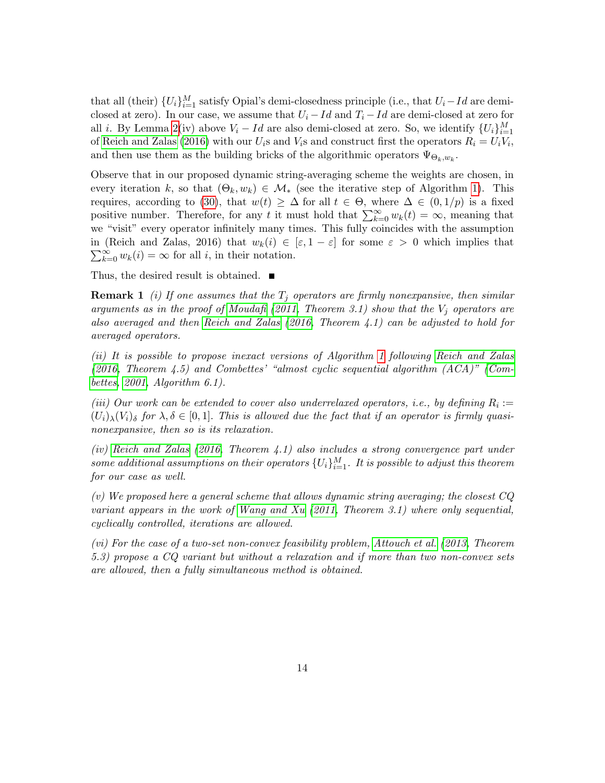that all (their)  $\{U_i\}_{i=1}^M$  satisfy Opial's demi-closedness principle (i.e., that  $U_i - Id$  are demiclosed at zero). In our case, we assume that  $U_i - Id$  and  $T_i - Id$  are demi-closed at zero for all *i*. By Lemma [2\(](#page-10-2)iv) above  $V_i - Id$  are also demi-closed at zero. So, we identify  $\{U_i\}_{i=1}^M$ of [Reich and Zalas \(2016\)](#page-29-4) with our  $U_i$ s and  $V_i$ s and construct first the operators  $R_i = U_i V_i$ , and then use them as the building bricks of the algorithmic operators  $\Psi_{\Theta_k, w_k}$ .

Observe that in our proposed dynamic string-averaging scheme the weights are chosen, in every iteration k, so that  $(\Theta_k, w_k) \in \mathcal{M}_*$  (see the iterative step of Algorithm [1\)](#page-9-1). This requires, according to [\(30\)](#page-9-2), that  $w(t) \geq \Delta$  for all  $t \in \Theta$ , where  $\Delta \in (0, 1/p)$  is a fixed positive number. Therefore, for any t it must hold that  $\sum_{k=0}^{\infty} w_k(t) = \infty$ , meaning that we "visit" every operator infinitely many times. This fully coincides with the assumption in (Reich and Zalas, 2016) that  $w_k(i) \in [\varepsilon, 1-\varepsilon]$  for some  $\varepsilon > 0$  which implies that  $\sum_{k=0}^{\infty} w_k(i) = \infty$  for all *i*, in their notation.

Thus, the desired result is obtained.

**Remark 1** (i) If one assumes that the  $T_i$  operators are firmly nonexpansive, then similar arguments as in the proof of [Moudafi](#page-29-5) [\(2011,](#page-29-5) Theorem 3.1) show that the  $V_i$  operators are also averaged and then [Reich and Zalas](#page-29-4) [\(2016,](#page-29-4) Theorem 4.1) can be adjusted to hold for averaged operators.

(ii) It is possible to propose inexact versions of Algorithm [1](#page-9-1) following [Reich and Zalas](#page-29-4) [\(2016,](#page-29-4) Theorem 4.5) and Combettes' "almost cyclic sequential algorithm (ACA)" [\(Com](#page-28-11)[bettes, 2001,](#page-28-11) Algorithm 6.1).

(iii) Our work can be extended to cover also underrelaxed operators, i.e., by defining  $R_i :=$  $(U_i)_{\lambda}(V_i)_{\delta}$  for  $\lambda, \delta \in [0,1]$ . This is allowed due the fact that if an operator is firmly quasinonexpansive, then so is its relaxation.

(iv) [Reich and Zalas](#page-29-4) [\(2016,](#page-29-4) Theorem 4.1) also includes a strong convergence part under some additional assumptions on their operators  $\{U_i\}_{i=1}^M$ . It is possible to adjust this theorem for our case as well.

(v) We proposed here a general scheme that allows dynamic string averaging; the closest CQ variant appears in the work of [Wang and Xu](#page-29-3) [\(2011,](#page-29-3) Theorem 3.1) where only sequential, cyclically controlled, iterations are allowed.

(vi) For the case of a two-set non-convex feasibility problem, [Attouch et al.](#page-26-1) [\(2013,](#page-26-1) Theorem 5.3) propose a CQ variant but without a relaxation and if more than two non-convex sets are allowed, then a fully simultaneous method is obtained.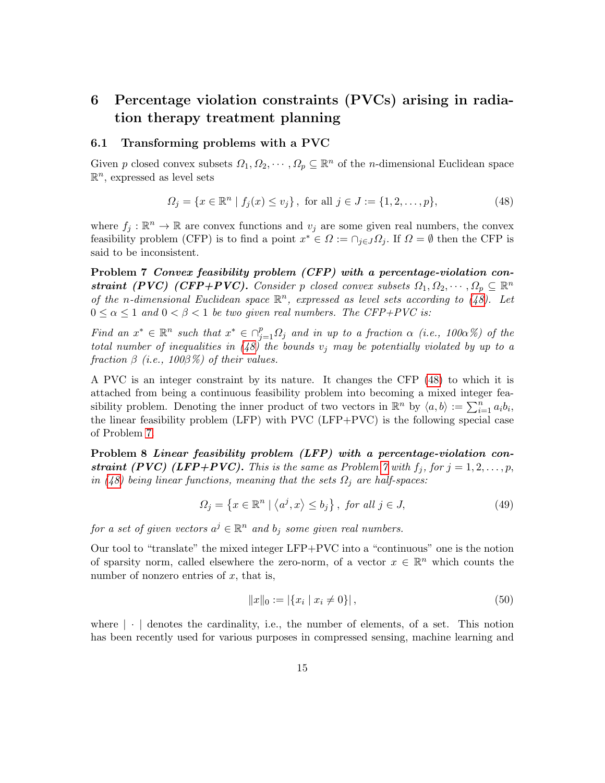# <span id="page-15-0"></span>6 Percentage violation constraints (PVCs) arising in radiation therapy treatment planning

#### 6.1 Transforming problems with a PVC

Given p closed convex subsets  $\Omega_1, \Omega_2, \cdots, \Omega_p \subseteq \mathbb{R}^n$  of the n-dimensional Euclidean space  $\mathbb{R}^n$ , expressed as level sets

<span id="page-15-1"></span>
$$
\Omega_j = \{ x \in \mathbb{R}^n \mid f_j(x) \le v_j \}, \text{ for all } j \in J := \{ 1, 2, \dots, p \},
$$
\n(48)

where  $f_j : \mathbb{R}^n \to \mathbb{R}$  are convex functions and  $v_j$  are some given real numbers, the convex feasibility problem (CFP) is to find a point  $x^* \in \Omega := \cap_{j \in J} \Omega_j$ . If  $\Omega = \emptyset$  then the CFP is said to be inconsistent.

<span id="page-15-2"></span>Problem 7 Convex feasibility problem (CFP) with a percentage-violation constraint (PVC) (CFP+PVC). Consider p closed convex subsets  $\Omega_1, \Omega_2, \cdots, \Omega_p \subseteq \mathbb{R}^n$ of the n-dimensional Euclidean space  $\mathbb{R}^n$ , expressed as level sets according to [\(48\)](#page-15-1). Let  $0 \leq \alpha \leq 1$  and  $0 \leq \beta \leq 1$  be two given real numbers. The CFP+PVC is:

Find an  $x^* \in \mathbb{R}^n$  such that  $x^* \in \bigcap_{j=1}^p \Omega_j$  and in up to a fraction  $\alpha$  (i.e., 100 $\alpha$ %) of the total number of inequalities in [\(48\)](#page-15-1) the bounds  $v_j$  may be potentially violated by up to a fraction  $\beta$  (i.e., 100 $\beta$ %) of their values.

A PVC is an integer constraint by its nature. It changes the CFP [\(48\)](#page-15-1) to which it is attached from being a continuous feasibility problem into becoming a mixed integer feasibility problem. Denoting the inner product of two vectors in  $\mathbb{R}^n$  by  $\langle a, b \rangle := \sum_{i=1}^n a_i b_i$ , the linear feasibility problem (LFP) with PVC (LFP+PVC) is the following special case of Problem [7.](#page-15-2)

<span id="page-15-3"></span>Problem 8 Linear feasibility problem (LFP) with a percentage-violation con-straint (PVC) (LFP+PVC). This is the same as Problem [7](#page-15-2) with  $f_i$ , for  $j = 1, 2, \ldots, p$ , in [\(48\)](#page-15-1) being linear functions, meaning that the sets  $\Omega_j$  are half-spaces:

$$
\Omega_j = \left\{ x \in \mathbb{R}^n \mid \langle a^j, x \rangle \le b_j \right\}, \text{ for all } j \in J,
$$
\n
$$
(49)
$$

for a set of given vectors  $a^j \in \mathbb{R}^n$  and  $b_j$  some given real numbers.

Our tool to "translate" the mixed integer LFP+PVC into a "continuous" one is the notion of sparsity norm, called elsewhere the zero-norm, of a vector  $x \in \mathbb{R}^n$  which counts the number of nonzero entries of  $x$ , that is,

$$
||x||_0 := |\{x_i \mid x_i \neq 0\}|,\tag{50}
$$

where  $|\cdot|$  denotes the cardinality, i.e., the number of elements, of a set. This notion has been recently used for various purposes in compressed sensing, machine learning and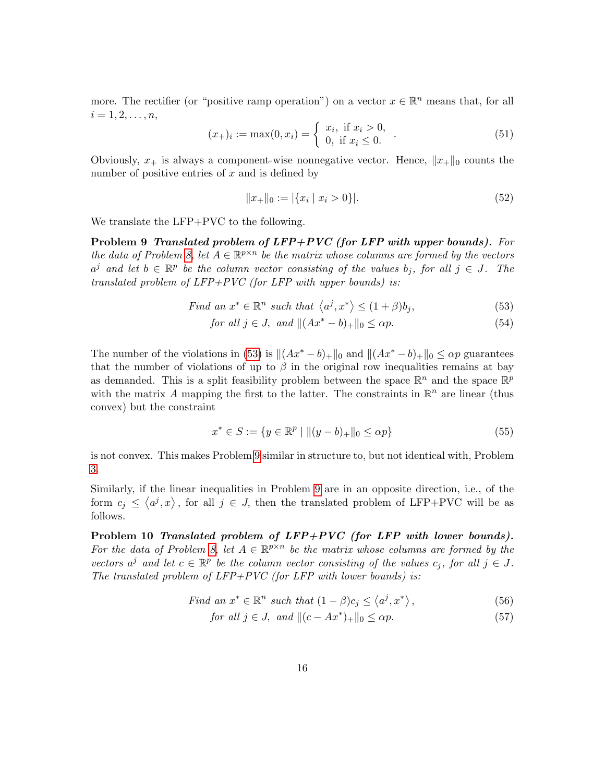more. The rectifier (or "positive ramp operation") on a vector  $x \in \mathbb{R}^n$  means that, for all  $i = 1, 2, \ldots, n$ ,

$$
(x_{+})_{i} := \max(0, x_{i}) = \begin{cases} x_{i}, & \text{if } x_{i} > 0, \\ 0, & \text{if } x_{i} \leq 0. \end{cases}
$$
 (51)

Obviously,  $x_+$  is always a component-wise nonnegative vector. Hence,  $||x_+||_0$  counts the number of positive entries of  $x$  and is defined by

<span id="page-16-0"></span>
$$
||x_+||_0 := |\{x_i \mid x_i > 0\}|. \tag{52}
$$

<span id="page-16-1"></span>We translate the LFP+PVC to the following.

Problem 9 Translated problem of LFP+PVC (for LFP with upper bounds). For the data of Problem [8,](#page-15-3) let  $A \in \mathbb{R}^{p \times n}$  be the matrix whose columns are formed by the vectors  $a^j$  and let  $b \in \mathbb{R}^p$  be the column vector consisting of the values  $b_j$ , for all  $j \in J$ . The translated problem of  $LFP+PVC$  (for  $LFP$  with upper bounds) is:

Find an 
$$
x^* \in \mathbb{R}^n
$$
 such that  $\langle a^j, x^* \rangle \le (1 + \beta)b_j$ , 
$$
(53)
$$

$$
for all j \in J, and \|(Ax^* - b)_+\|_0 \le \alpha p. \tag{54}
$$

The number of the violations in [\(53\)](#page-16-0) is  $||(Ax^* - b)_+||_0$  and  $||(Ax^* - b)_+||_0 \leq \alpha p$  guarantees that the number of violations of up to  $\beta$  in the original row inequalities remains at bay as demanded. This is a split feasibility problem between the space  $\mathbb{R}^n$  and the space  $\mathbb{R}^p$ with the matrix A mapping the first to the latter. The constraints in  $\mathbb{R}^n$  are linear (thus convex) but the constraint

$$
x^* \in S := \{ y \in \mathbb{R}^p \mid ||(y - b)_+||_0 \le \alpha p \}
$$
\n(55)

is not convex. This makes Problem [9](#page-16-1) similar in structure to, but not identical with, Problem [3.](#page-4-0)

Similarly, if the linear inequalities in Problem [9](#page-16-1) are in an opposite direction, i.e., of the form  $c_j \le \langle a^j, x \rangle$ , for all  $j \in J$ , then the translated problem of LFP+PVC will be as follows.

<span id="page-16-2"></span>Problem 10 Translated problem of LFP+PVC (for LFP with lower bounds). For the data of Problem [8,](#page-15-3) let  $A \in \mathbb{R}^{p \times n}$  be the matrix whose columns are formed by the vectors  $a^j$  and let  $c \in \mathbb{R}^p$  be the column vector consisting of the values  $c_j$ , for all  $j \in J$ . The translated problem of  $LFP+PVC$  (for  $LFP$  with lower bounds) is:

Find an 
$$
x^* \in \mathbb{R}^n
$$
 such that  $(1 - \beta)c_j \le \langle a^j, x^* \rangle$ ,  $(56)$ 

$$
for all j \in J, and \n \|(c - Ax^*)_+\|_0 \le \alpha p. \n \tag{57}
$$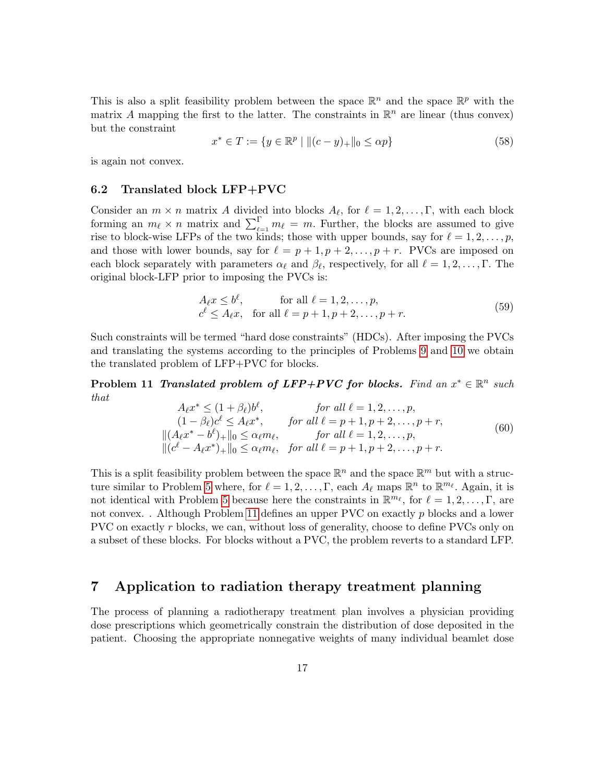This is also a split feasibility problem between the space  $\mathbb{R}^n$  and the space  $\mathbb{R}^p$  with the matrix A mapping the first to the latter. The constraints in  $\mathbb{R}^n$  are linear (thus convex) but the constraint

$$
x^* \in T := \{ y \in \mathbb{R}^p \mid || (c - y)_+ ||_0 \le \alpha p \}
$$
\n(58)

is again not convex.

#### 6.2 Translated block LFP+PVC

Consider an  $m \times n$  matrix A divided into blocks  $A_{\ell}$ , for  $\ell = 1, 2, \ldots, \Gamma$ , with each block forming an  $m_{\ell} \times n$  matrix and  $\sum_{\ell=1}^{\Gamma} m_{\ell} = m$ . Further, the blocks are assumed to give rise to block-wise LFPs of the two kinds; those with upper bounds, say for  $\ell = 1, 2, \ldots, p$ , and those with lower bounds, say for  $\ell = p + 1, p + 2, \ldots, p + r$ . PVCs are imposed on each block separately with parameters  $\alpha_{\ell}$  and  $\beta_{\ell}$ , respectively, for all  $\ell = 1, 2, ..., \Gamma$ . The original block-LFP prior to imposing the PVCs is:

$$
A_{\ell}x \le b^{\ell}, \quad \text{for all } \ell = 1, 2, \dots, p,
$$
  

$$
c^{\ell} \le A_{\ell}x, \quad \text{for all } \ell = p+1, p+2, \dots, p+r.
$$
 (59)

Such constraints will be termed "hard dose constraints" (HDCs). After imposing the PVCs and translating the systems according to the principles of Problems [9](#page-16-1) and [10](#page-16-2) we obtain the translated problem of LFP+PVC for blocks.

<span id="page-17-1"></span>**Problem 11 Translated problem of LFP+PVC for blocks.** Find an  $x^* \in \mathbb{R}^n$  such that

$$
A_{\ell}x^{*} \leq (1+\beta_{\ell})b^{\ell}, \qquad \text{for all } \ell = 1, 2, ..., p,
$$
  
\n
$$
(1-\beta_{\ell})c^{\ell} \leq A_{\ell}x^{*}, \qquad \text{for all } \ell = p+1, p+2, ..., p+r,
$$
  
\n
$$
||(A_{\ell}x^{*}-b^{\ell})_{+}||_{0} \leq \alpha_{\ell}m_{\ell}, \qquad \text{for all } \ell = 1, 2, ..., p,
$$
  
\n
$$
||(c^{\ell}-A_{\ell}x^{*})_{+}||_{0} \leq \alpha_{\ell}m_{\ell}, \quad \text{for all } \ell = p+1, p+2, ..., p+r.
$$
  
\n(60)

This is a split feasibility problem between the space  $\mathbb{R}^n$  and the space  $\mathbb{R}^m$  but with a struc-ture similar to Problem [5](#page-4-3) where, for  $\ell = 1, 2, \ldots, \Gamma$ , each  $A_{\ell}$  maps  $\mathbb{R}^n$  to  $\mathbb{R}^{m_{\ell}}$ . Again, it is not identical with Problem [5](#page-4-3) because here the constraints in  $\mathbb{R}^{m_{\ell}}$ , for  $\ell = 1, 2, \ldots, \Gamma$ , are not convex. . Although Problem [11](#page-17-1) defines an upper PVC on exactly p blocks and a lower PVC on exactly r blocks, we can, without loss of generality, choose to define PVCs only on a subset of these blocks. For blocks without a PVC, the problem reverts to a standard LFP.

### <span id="page-17-0"></span>7 Application to radiation therapy treatment planning

The process of planning a radiotherapy treatment plan involves a physician providing dose prescriptions which geometrically constrain the distribution of dose deposited in the patient. Choosing the appropriate nonnegative weights of many individual beamlet dose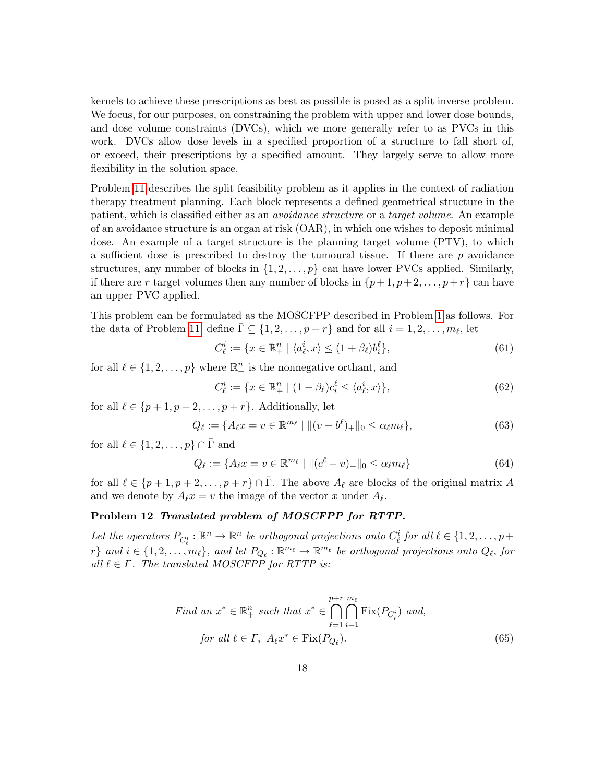kernels to achieve these prescriptions as best as possible is posed as a split inverse problem. We focus, for our purposes, on constraining the problem with upper and lower dose bounds, and dose volume constraints (DVCs), which we more generally refer to as PVCs in this work. DVCs allow dose levels in a specified proportion of a structure to fall short of, or exceed, their prescriptions by a specified amount. They largely serve to allow more flexibility in the solution space.

Problem [11](#page-17-1) describes the split feasibility problem as it applies in the context of radiation therapy treatment planning. Each block represents a defined geometrical structure in the patient, which is classified either as an avoidance structure or a target volume. An example of an avoidance structure is an organ at risk (OAR), in which one wishes to deposit minimal dose. An example of a target structure is the planning target volume (PTV), to which a sufficient dose is prescribed to destroy the tumoural tissue. If there are  $p$  avoidance structures, any number of blocks in  $\{1, 2, \ldots, p\}$  can have lower PVCs applied. Similarly, if there are r target volumes then any number of blocks in  $\{p+1, p+2, \ldots, p+r\}$  can have an upper PVC applied.

This problem can be formulated as the MOSCFPP described in Problem [1](#page-2-0) as follows. For the data of Problem [11,](#page-17-1) define  $\overline{\Gamma} \subseteq \{1, 2, \ldots, p+r\}$  and for all  $i = 1, 2, \ldots, m_\ell$ , let

$$
C_{\ell}^{i} := \{ x \in \mathbb{R}_{+}^{n} \mid \langle a_{\ell}^{i}, x \rangle \le (1 + \beta_{\ell}) b_{i}^{\ell} \},\tag{61}
$$

for all  $\ell \in \{1, 2, ..., p\}$  where  $\mathbb{R}^n_+$  is the nonnegative orthant, and

$$
C_{\ell}^{i} := \{ x \in \mathbb{R}_{+}^{n} \mid (1 - \beta_{\ell})c_{i}^{\ell} \le \langle a_{\ell}^{i}, x \rangle \},\tag{62}
$$

for all  $\ell \in \{p+1, p+2, \ldots, p+r\}$ . Additionally, let

$$
Q_{\ell} := \{ A_{\ell} x = v \in \mathbb{R}^{m_{\ell}} \mid \|(v - b^{\ell})_{+}\|_{0} \le \alpha_{\ell} m_{\ell} \},\tag{63}
$$

for all  $\ell \in \{1, 2, \ldots, p\} \cap \overline{\Gamma}$  and

$$
Q_{\ell} := \{ A_{\ell} x = v \in \mathbb{R}^{m_{\ell}} \mid \| (c^{\ell} - v)_{+} \|_{0} \le \alpha_{\ell} m_{\ell} \}
$$
(64)

for all  $\ell \in \{p+1, p+2, \ldots, p+r\} \cap \bar{\Gamma}$ . The above  $A_{\ell}$  are blocks of the original matrix A and we denote by  $A_{\ell}x = v$  the image of the vector x under  $A_{\ell}$ .

# <span id="page-18-0"></span>Problem 12 Translated problem of MOSCFPP for RTTP.

Let the operators  $P_{C^i_\ell} : \mathbb{R}^n \to \mathbb{R}^n$  be orthogonal projections onto  $C^i_\ell$  for all  $\ell \in \{1, 2, \ldots, p+\ell\}$  $r\}$  and  $i \in \{1, 2, ..., m_\ell\}$ , and let  $P_{Q_\ell} : \mathbb{R}^{m_\ell} \to \mathbb{R}^{m_\ell}$  be orthogonal projections onto  $Q_\ell$ , for all  $\ell \in \Gamma$ . The translated MOSCFPP for RTTP is:

Find an 
$$
x^* \in \mathbb{R}_+^n
$$
 such that  $x^* \in \bigcap_{\ell=1}^{p+r} \bigcap_{i=1}^{m_\ell} \text{Fix}(P_{C_\ell^i})$  and,  
for all  $\ell \in \Gamma$ ,  $A_\ell x^* \in \text{Fix}(P_{Q_\ell})$ . (65)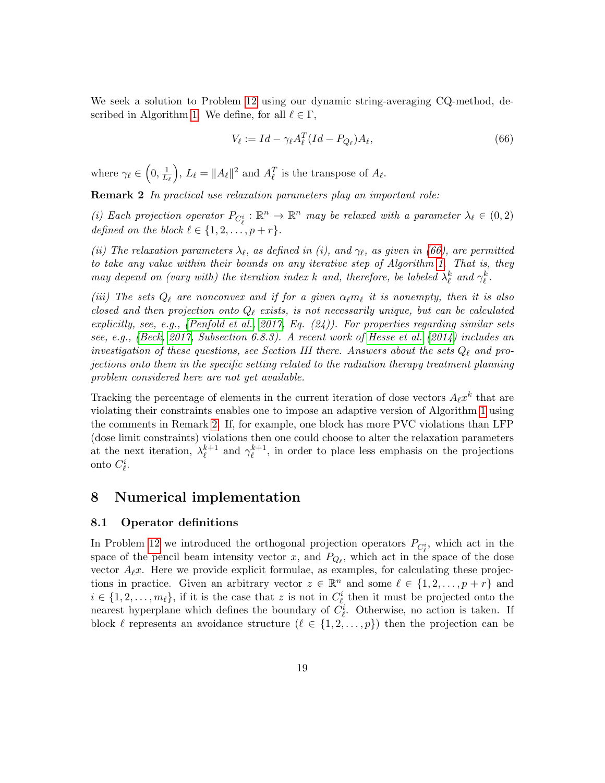We seek a solution to Problem [12](#page-18-0) using our dynamic string-averaging CQ-method, de-scribed in Algorithm [1.](#page-9-1) We define, for all  $\ell \in \Gamma$ ,

<span id="page-19-1"></span>
$$
V_{\ell} := Id - \gamma_{\ell} A_{\ell}^{T} (Id - P_{Q_{\ell}}) A_{\ell}, \qquad (66)
$$

where  $\gamma_{\ell} \in \left(0, \frac{1}{L}\right)$  $L_\ell$ ),  $L_{\ell} = ||A_{\ell}||^2$  and  $A_{\ell}^T$  is the transpose of  $A_{\ell}$ .

<span id="page-19-2"></span>Remark 2 In practical use relaxation parameters play an important role:

(i) Each projection operator  $P_{C_{\ell}^i} : \mathbb{R}^n \to \mathbb{R}^n$  may be relaxed with a parameter  $\lambda_{\ell} \in (0, 2)$ defined on the block  $\ell \in \{1, 2, \ldots, p + r\}.$ 

(ii) The relaxation parameters  $\lambda_{\ell}$ , as defined in (i), and  $\gamma_{\ell}$ , as given in [\(66\)](#page-19-1), are permitted to take any value within their bounds on any iterative step of Algorithm [1.](#page-9-1) That is, they may depend on (vary with) the iteration index k and, therefore, be labeled  $\lambda_{\ell}^{k}$  and  $\gamma_{\ell}^{k}$ .

(iii) The sets  $Q_\ell$  are nonconvex and if for a given  $\alpha_\ell m_\ell$  it is nonempty, then it is also closed and then projection onto  $Q_\ell$  exists, is not necessarily unique, but can be calculated explicitly, see, e.g., [\(Penfold et al., 2017,](#page-29-2) Eq. (24)). For properties regarding similar sets see, e.g., [\(Beck, 2017,](#page-27-13) Subsection 6.8.3). A recent work of [Hesse et al.](#page-28-1) [\(2014\)](#page-28-1) includes an investigation of these questions, see Section III there. Answers about the sets  $Q_\ell$  and projections onto them in the specific setting related to the radiation therapy treatment planning problem considered here are not yet available.

Tracking the percentage of elements in the current iteration of dose vectors  $A_{\ell}x^{k}$  that are violating their constraints enables one to impose an adaptive version of Algorithm [1](#page-9-1) using the comments in Remark [2.](#page-19-2) If, for example, one block has more PVC violations than LFP (dose limit constraints) violations then one could choose to alter the relaxation parameters at the next iteration,  $\lambda_{\ell}^{k+1}$  $_{\ell}^{k+1}$  and  $\gamma_{\ell}^{k+1}$  $\ell^{k+1}$ , in order to place less emphasis on the projections onto  $C_{\ell}^i$ .

### <span id="page-19-0"></span>8 Numerical implementation

#### 8.1 Operator definitions

In Problem [12](#page-18-0) we introduced the orthogonal projection operators  $P_{\mathcal{C}_{\ell}^{i}}$ , which act in the space of the pencil beam intensity vector x, and  $P_{Q_\ell}$ , which act in the space of the dose vector  $A_{\ell}x$ . Here we provide explicit formulae, as examples, for calculating these projections in practice. Given an arbitrary vector  $z \in \mathbb{R}^n$  and some  $\ell \in \{1, 2, \ldots, p + r\}$  and  $i \in \{1, 2, \ldots, m_\ell\},\$ if it is the case that z is not in  $C^i_\ell$  then it must be projected onto the nearest hyperplane which defines the boundary of  $C_{\ell}^{i}$ . Otherwise, no action is taken. If block  $\ell$  represents an avoidance structure  $(\ell \in \{1, 2, ..., p\})$  then the projection can be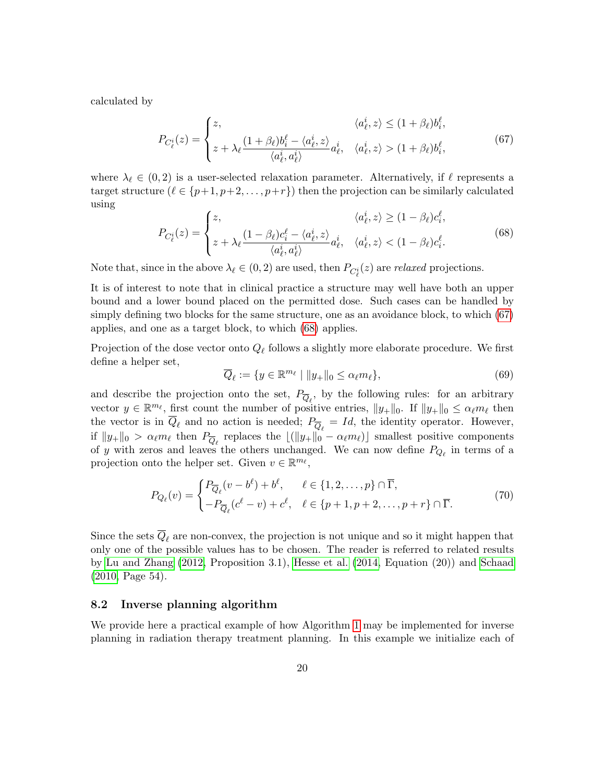calculated by

<span id="page-20-0"></span>
$$
P_{C_{\ell}^{i}}(z) = \begin{cases} z, & \langle a_{\ell}^{i}, z \rangle \leq (1 + \beta_{\ell})b_{i}^{\ell}, \\ z + \lambda_{\ell} \frac{(1 + \beta_{\ell})b_{i}^{\ell} - \langle a_{\ell}^{i}, z \rangle}{\langle a_{\ell}^{i}, a_{\ell}^{i} \rangle} a_{\ell}^{i}, & \langle a_{\ell}^{i}, z \rangle > (1 + \beta_{\ell})b_{i}^{\ell}, \end{cases}
$$
(67)

where  $\lambda_\ell \in (0, 2)$  is a user-selected relaxation parameter. Alternatively, if  $\ell$  represents a target structure  $(\ell \in \{p+1, p+2, \ldots, p+r\})$  then the projection can be similarly calculated using

<span id="page-20-1"></span>
$$
P_{C_{\ell}^{i}}(z) = \begin{cases} z, & \langle a_{\ell}^{i}, z \rangle \geq (1 - \beta_{\ell})c_{i}^{\ell}, \\ z + \lambda_{\ell} \frac{(1 - \beta_{\ell})c_{i}^{\ell} - \langle a_{\ell}^{i}, z \rangle}{\langle a_{\ell}^{i}, a_{\ell}^{i} \rangle} a_{\ell}^{i}, & \langle a_{\ell}^{i}, z \rangle < (1 - \beta_{\ell})c_{i}^{\ell}. \end{cases}
$$
(68)

Note that, since in the above  $\lambda_{\ell} \in (0, 2)$  are used, then  $P_{C_{\ell}^{i}}(z)$  are *relaxed* projections.

It is of interest to note that in clinical practice a structure may well have both an upper bound and a lower bound placed on the permitted dose. Such cases can be handled by simply defining two blocks for the same structure, one as an avoidance block, to which [\(67\)](#page-20-0) applies, and one as a target block, to which [\(68\)](#page-20-1) applies.

Projection of the dose vector onto  $Q_{\ell}$  follows a slightly more elaborate procedure. We first define a helper set,

$$
\overline{Q}_{\ell} := \{ y \in \mathbb{R}^{m_{\ell}} \mid ||y_+||_0 \le \alpha_{\ell} m_{\ell} \},\tag{69}
$$

and describe the projection onto the set,  $P_{\overline{Q}_{\ell}}$ , by the following rules: for an arbitrary vector  $y \in \mathbb{R}^{m_{\ell}}$ , first count the number of positive entries,  $||y_+||_0$ . If  $||y_+||_0 \leq \alpha_{\ell} m_{\ell}$  then the vector is in  $Q_\ell$  and no action is needed;  $P_{\overline{Q}_\ell} = Id$ , the identity operator. However, if  $||y_+||_0 > \alpha_\ell m_\ell$  then  $P_{\overline{Q}_\ell}$  replaces the  $\lfloor (||y_+||_0 - \alpha_\ell m_\ell) \rfloor$  smallest positive components of y with zeros and leaves the others unchanged. We can now define  $P_{Q_\ell}$  in terms of a projection onto the helper set. Given  $v \in \mathbb{R}^{m_{\ell}}$ ,

$$
P_{Q_{\ell}}(v) = \begin{cases} P_{\overline{Q}_{\ell}}(v - b^{\ell}) + b^{\ell}, & \ell \in \{1, 2, ..., p\} \cap \overline{\Gamma}, \\ -P_{\overline{Q}_{\ell}}(c^{\ell} - v) + c^{\ell}, & \ell \in \{p + 1, p + 2, ..., p + r\} \cap \overline{\Gamma}. \end{cases}
$$
(70)

Since the sets  $\overline{Q}_\ell$  are non-convex, the projection is not unique and so it might happen that only one of the possible values has to be chosen. The reader is referred to related results by [Lu and Zhang \(2012,](#page-28-12) Proposition 3.1), [Hesse et al. \(2014,](#page-28-1) Equation (20)) and [Schaad](#page-29-6) [\(2010,](#page-29-6) Page 54).

#### 8.2 Inverse planning algorithm

We provide here a practical example of how Algorithm [1](#page-9-1) may be implemented for inverse planning in radiation therapy treatment planning. In this example we initialize each of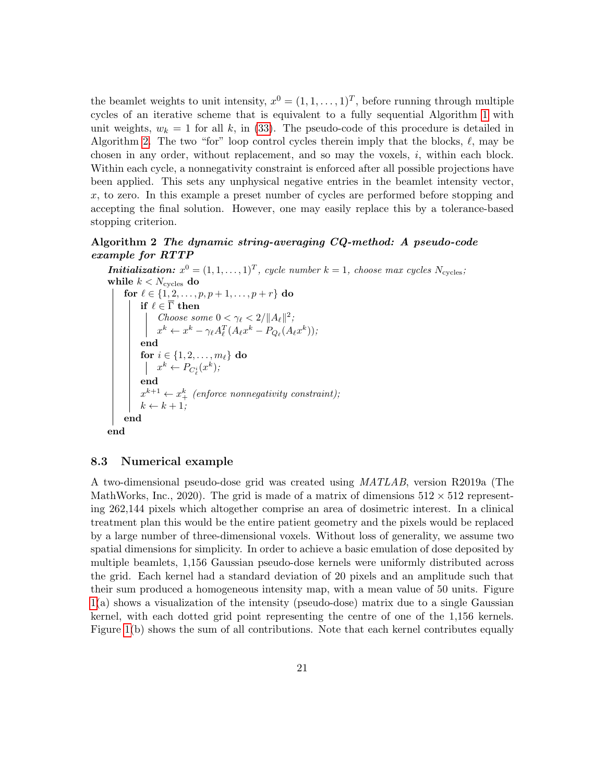the beamlet weights to unit intensity,  $x^0 = (1, 1, \ldots, 1)^T$ , before running through multiple cycles of an iterative scheme that is equivalent to a fully sequential Algorithm [1](#page-9-1) with unit weights,  $w_k = 1$  for all k, in [\(33\)](#page-9-3). The pseudo-code of this procedure is detailed in Algorithm [2.](#page-21-0) The two "for" loop control cycles therein imply that the blocks,  $\ell$ , may be chosen in any order, without replacement, and so may the voxels,  $i$ , within each block. Within each cycle, a nonnegativity constraint is enforced after all possible projections have been applied. This sets any unphysical negative entries in the beamlet intensity vector,  $x$ , to zero. In this example a preset number of cycles are performed before stopping and accepting the final solution. However, one may easily replace this by a tolerance-based stopping criterion.

### <span id="page-21-0"></span>Algorithm 2 The dynamic string-averaging CQ-method: A pseudo-code example for RTTP

**Initialization:**  $x^0 = (1, 1, ..., 1)^T$ , cycle number  $k = 1$ , choose max cycles  $N_{\text{cycles}}$ ; while  $k < N_{\text{cycles}}$  do for  $\ell \in \{1, 2, \ldots, p, p + 1, \ldots, p + r\}$  do if  $\ell \in \overline{\Gamma}$  then Choose some  $0 < \gamma_{\ell} < 2 / ||A_{\ell}||^2$ ;  $x^k \leftarrow x^k - \gamma_\ell A_\ell^T (A_\ell x^k - P_{Q_\ell}(A_\ell x^k));$ end for  $i \in \{1, 2, \ldots, m_\ell\}$  do  $x^k \leftarrow P_{C^i_{\ell}}(x^k);$ end  $x^{k+1} \leftarrow x_{+}^{k}$  (enforce nonnegativity constraint);  $k \leftarrow k + 1;$ end end

#### 8.3 Numerical example

A two-dimensional pseudo-dose grid was created using MATLAB, version R2019a (The MathWorks, Inc., 2020). The grid is made of a matrix of dimensions  $512 \times 512$  representing 262,144 pixels which altogether comprise an area of dosimetric interest. In a clinical treatment plan this would be the entire patient geometry and the pixels would be replaced by a large number of three-dimensional voxels. Without loss of generality, we assume two spatial dimensions for simplicity. In order to achieve a basic emulation of dose deposited by multiple beamlets, 1,156 Gaussian pseudo-dose kernels were uniformly distributed across the grid. Each kernel had a standard deviation of 20 pixels and an amplitude such that their sum produced a homogeneous intensity map, with a mean value of 50 units. Figure [1\(](#page-22-0)a) shows a visualization of the intensity (pseudo-dose) matrix due to a single Gaussian kernel, with each dotted grid point representing the centre of one of the 1,156 kernels. Figure [1\(](#page-22-0)b) shows the sum of all contributions. Note that each kernel contributes equally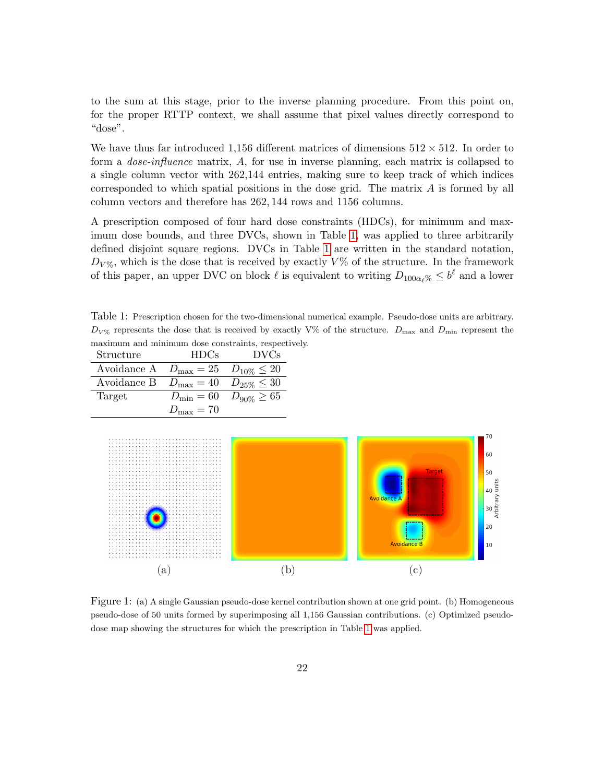to the sum at this stage, prior to the inverse planning procedure. From this point on, for the proper RTTP context, we shall assume that pixel values directly correspond to "dose".

We have thus far introduced 1,156 different matrices of dimensions  $512 \times 512$ . In order to form a dose-influence matrix, A, for use in inverse planning, each matrix is collapsed to a single column vector with 262,144 entries, making sure to keep track of which indices corresponded to which spatial positions in the dose grid. The matrix A is formed by all column vectors and therefore has 262, 144 rows and 1156 columns.

A prescription composed of four hard dose constraints (HDCs), for minimum and maximum dose bounds, and three DVCs, shown in Table [1,](#page-22-1) was applied to three arbitrarily defined disjoint square regions. DVCs in Table [1](#page-22-1) are written in the standard notation,  $D_{V\%}$ , which is the dose that is received by exactly  $V\%$  of the structure. In the framework of this paper, an upper DVC on block  $\ell$  is equivalent to writing  $D_{100\alpha_{\ell}} \leq b^{\ell}$  and a lower

<span id="page-22-1"></span>Table 1: Prescription chosen for the two-dimensional numerical example. Pseudo-dose units are arbitrary.  $D_{V\%}$  represents the dose that is received by exactly V% of the structure.  $D_{\text{max}}$  and  $D_{\text{min}}$  represent the maximum and minimum dose constraints, respectively.

| Structure                                            | HDCs.                 | DVCs                                  |
|------------------------------------------------------|-----------------------|---------------------------------------|
| Avoidance A $D_{\text{max}} = 25$ $D_{10\%} \leq 20$ |                       |                                       |
| Avoidance B $D_{\text{max}} = 40$ $D_{25\%} \leq 30$ |                       |                                       |
| Target                                               |                       | $D_{\min} = 60 \quad D_{90\%} \ge 65$ |
|                                                      | $D_{\text{max}} = 70$ |                                       |



<span id="page-22-0"></span>Figure 1: (a) A single Gaussian pseudo-dose kernel contribution shown at one grid point. (b) Homogeneous pseudo-dose of 50 units formed by superimposing all 1,156 Gaussian contributions. (c) Optimized pseudodose map showing the structures for which the prescription in Table [1](#page-22-1) was applied.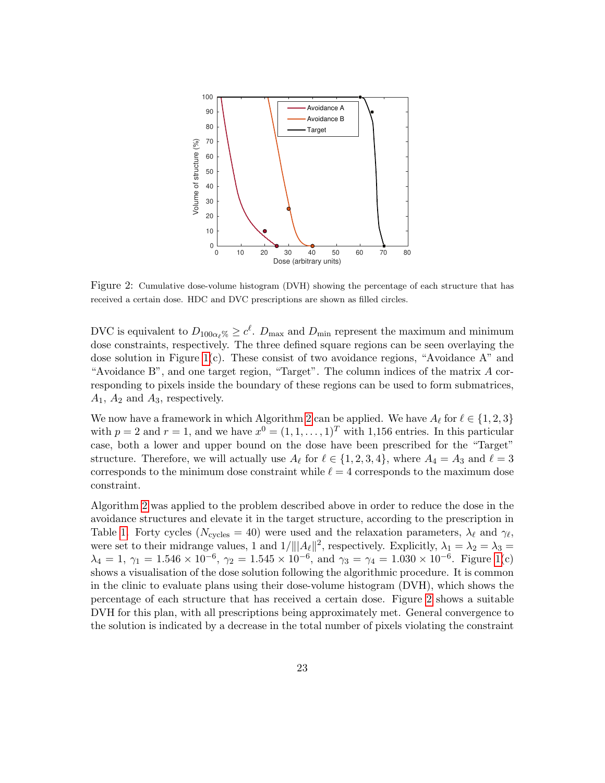

<span id="page-23-0"></span>Figure 2: Cumulative dose-volume histogram (DVH) showing the percentage of each structure that has received a certain dose. HDC and DVC prescriptions are shown as filled circles.

DVC is equivalent to  $D_{100\alpha_\ell\%}\geq c^\ell$ .  $D_{\text{max}}$  and  $D_{\text{min}}$  represent the maximum and minimum dose constraints, respectively. The three defined square regions can be seen overlaying the dose solution in Figure  $1(c)$ . These consist of two avoidance regions, "Avoidance A" and "Avoidance B", and one target region, "Target". The column indices of the matrix  $A$  corresponding to pixels inside the boundary of these regions can be used to form submatrices,  $A_1$ ,  $A_2$  and  $A_3$ , respectively.

We now have a framework in which Algorithm [2](#page-21-0) can be applied. We have  $A_\ell$  for  $\ell \in \{1, 2, 3\}$ with  $p = 2$  and  $r = 1$ , and we have  $x^0 = (1, 1, \ldots, 1)^T$  with 1,156 entries. In this particular case, both a lower and upper bound on the dose have been prescribed for the "Target" structure. Therefore, we will actually use  $A_\ell$  for  $\ell \in \{1, 2, 3, 4\}$ , where  $A_4 = A_3$  and  $\ell = 3$ corresponds to the minimum dose constraint while  $\ell = 4$  corresponds to the maximum dose constraint.

Algorithm [2](#page-21-0) was applied to the problem described above in order to reduce the dose in the avoidance structures and elevate it in the target structure, according to the prescription in Table [1.](#page-22-1) Forty cycles ( $N_{\text{cycles}} = 40$ ) were used and the relaxation parameters,  $\lambda_{\ell}$  and  $\gamma_{\ell}$ , were set to their midrange values, 1 and  $1/\|A_{\ell}\|^2$ , respectively. Explicitly,  $\lambda_1 = \lambda_2 = \lambda_3 =$  $\lambda_4 = 1, \gamma_1 = 1.546 \times 10^{-6}, \gamma_2 = 1.545 \times 10^{-6}, \text{ and } \gamma_3 = \gamma_4 = 1.030 \times 10^{-6}.$  Figure [1\(](#page-22-0)c) shows a visualisation of the dose solution following the algorithmic procedure. It is common in the clinic to evaluate plans using their dose-volume histogram (DVH), which shows the percentage of each structure that has received a certain dose. Figure [2](#page-23-0) shows a suitable DVH for this plan, with all prescriptions being approximately met. General convergence to the solution is indicated by a decrease in the total number of pixels violating the constraint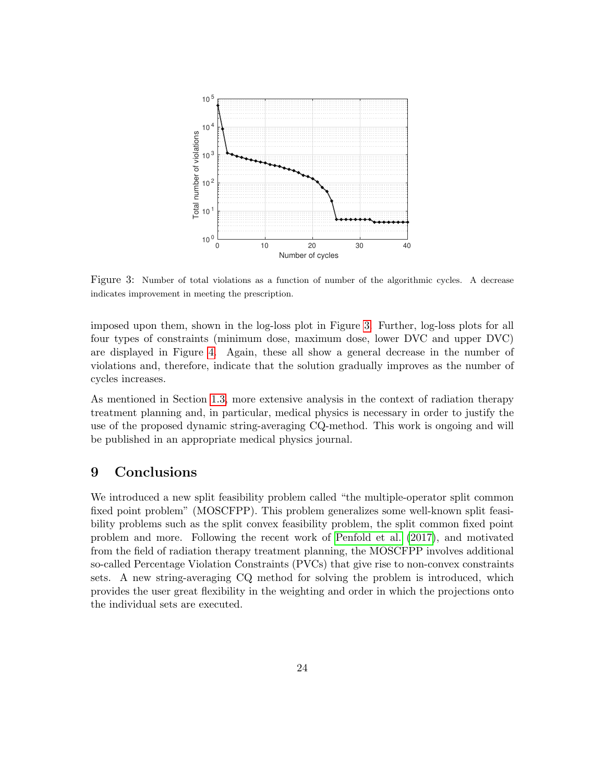

<span id="page-24-0"></span>Figure 3: Number of total violations as a function of number of the algorithmic cycles. A decrease indicates improvement in meeting the prescription.

imposed upon them, shown in the log-loss plot in Figure [3.](#page-24-0) Further, log-loss plots for all four types of constraints (minimum dose, maximum dose, lower DVC and upper DVC) are displayed in Figure [4.](#page-25-0) Again, these all show a general decrease in the number of violations and, therefore, indicate that the solution gradually improves as the number of cycles increases.

As mentioned in Section [1.3,](#page-3-0) more extensive analysis in the context of radiation therapy treatment planning and, in particular, medical physics is necessary in order to justify the use of the proposed dynamic string-averaging CQ-method. This work is ongoing and will be published in an appropriate medical physics journal.

# 9 Conclusions

We introduced a new split feasibility problem called "the multiple-operator split common fixed point problem" (MOSCFPP). This problem generalizes some well-known split feasibility problems such as the split convex feasibility problem, the split common fixed point problem and more. Following the recent work of [Penfold et al. \(2017\)](#page-29-2), and motivated from the field of radiation therapy treatment planning, the MOSCFPP involves additional so-called Percentage Violation Constraints (PVCs) that give rise to non-convex constraints sets. A new string-averaging CQ method for solving the problem is introduced, which provides the user great flexibility in the weighting and order in which the projections onto the individual sets are executed.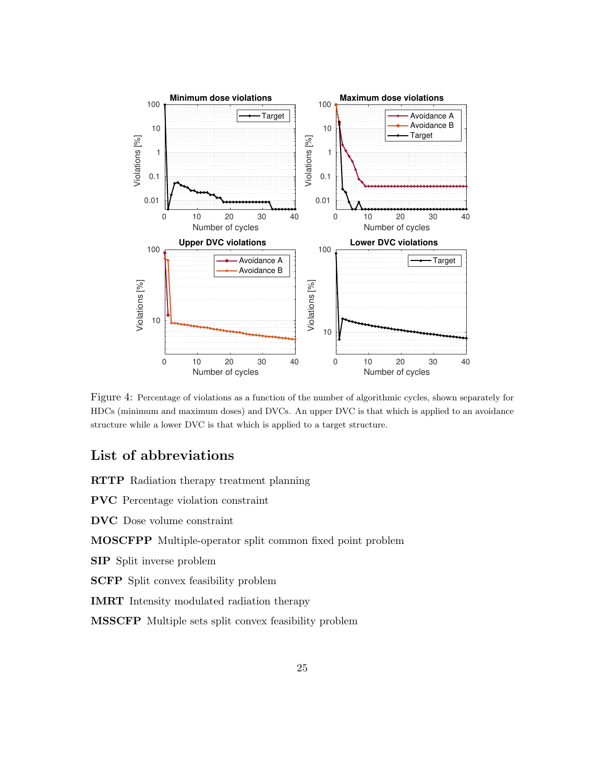

<span id="page-25-0"></span>Figure 4: Percentage of violations as a function of the number of algorithmic cycles, shown separately for HDCs (minimum and maximum doses) and DVCs. An upper DVC is that which is applied to an avoidance structure while a lower DVC is that which is applied to a target structure.

# List of abbreviations

RTTP Radiation therapy treatment planning

PVC Percentage violation constraint

DVC Dose volume constraint

MOSCFPP Multiple-operator split common fixed point problem

SIP Split inverse problem

SCFP Split convex feasibility problem

IMRT Intensity modulated radiation therapy

MSSCFP Multiple sets split convex feasibility problem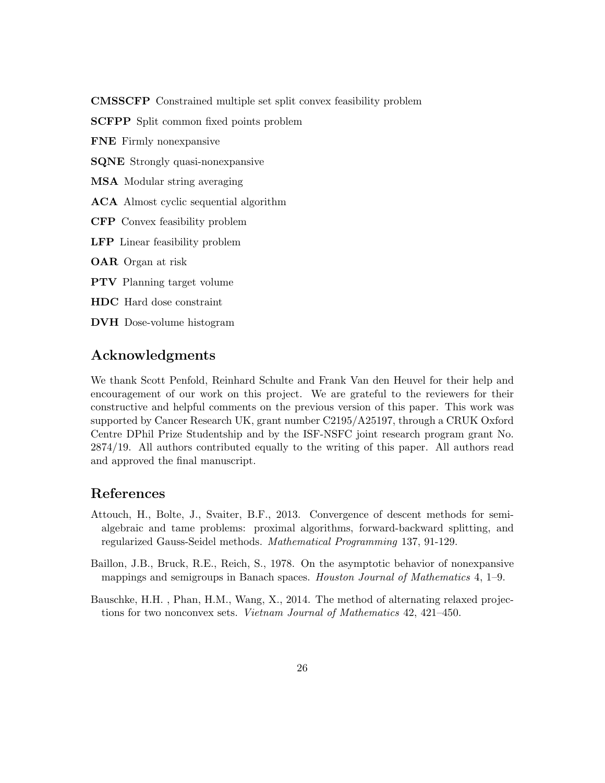CMSSCFP Constrained multiple set split convex feasibility problem

SCFPP Split common fixed points problem

FNE Firmly nonexpansive

SQNE Strongly quasi-nonexpansive

MSA Modular string averaging

ACA Almost cyclic sequential algorithm

CFP Convex feasibility problem

LFP Linear feasibility problem

OAR Organ at risk

PTV Planning target volume

HDC Hard dose constraint

DVH Dose-volume histogram

# Acknowledgments

We thank Scott Penfold, Reinhard Schulte and Frank Van den Heuvel for their help and encouragement of our work on this project. We are grateful to the reviewers for their constructive and helpful comments on the previous version of this paper. This work was supported by Cancer Research UK, grant number C2195/A25197, through a CRUK Oxford Centre DPhil Prize Studentship and by the ISF-NSFC joint research program grant No. 2874/19. All authors contributed equally to the writing of this paper. All authors read and approved the final manuscript.

# References

- <span id="page-26-1"></span>Attouch, H., Bolte, J., Svaiter, B.F., 2013. Convergence of descent methods for semialgebraic and tame problems: proximal algorithms, forward-backward splitting, and regularized Gauss-Seidel methods. Mathematical Programming 137, 91-129.
- <span id="page-26-2"></span>Baillon, J.B., Bruck, R.E., Reich, S., 1978. On the asymptotic behavior of nonexpansive mappings and semigroups in Banach spaces. Houston Journal of Mathematics 4, 1–9.
- <span id="page-26-0"></span>Bauschke, H.H. , Phan, H.M., Wang, X., 2014. The method of alternating relaxed projections for two nonconvex sets. Vietnam Journal of Mathematics 42, 421–450.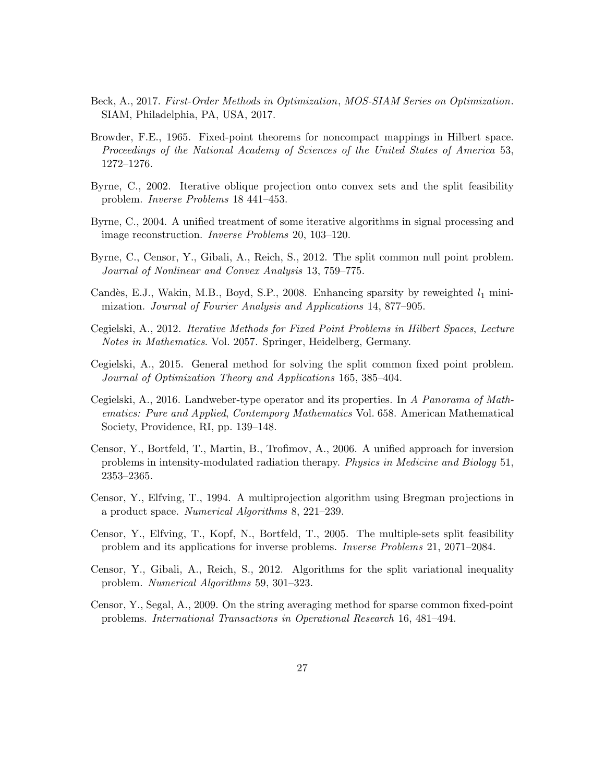- <span id="page-27-13"></span>Beck, A., 2017. First-Order Methods in Optimization, MOS-SIAM Series on Optimization. SIAM, Philadelphia, PA, USA, 2017.
- <span id="page-27-10"></span>Browder, F.E., 1965. Fixed-point theorems for noncompact mappings in Hilbert space. Proceedings of the National Academy of Sciences of the United States of America 53, 1272–1276.
- <span id="page-27-1"></span>Byrne, C., 2002. Iterative oblique projection onto convex sets and the split feasibility problem. Inverse Problems 18 441–453.
- <span id="page-27-9"></span>Byrne, C., 2004. A unified treatment of some iterative algorithms in signal processing and image reconstruction. Inverse Problems 20, 103–120.
- <span id="page-27-3"></span>Byrne, C., Censor, Y., Gibali, A., Reich, S., 2012. The split common null point problem. Journal of Nonlinear and Convex Analysis 13, 759–775.
- <span id="page-27-0"></span>Candès, E.J., Wakin, M.B., Boyd, S.P., 2008. Enhancing sparsity by reweighted  $l_1$  minimization. Journal of Fourier Analysis and Applications 14, 877–905.
- <span id="page-27-8"></span>Cegielski, A., 2012. Iterative Methods for Fixed Point Problems in Hilbert Spaces, Lecture Notes in Mathematics. Vol. 2057. Springer, Heidelberg, Germany.
- <span id="page-27-11"></span>Cegielski, A., 2015. General method for solving the split common fixed point problem. Journal of Optimization Theory and Applications 165, 385–404.
- <span id="page-27-12"></span>Cegielski, A., 2016. Landweber-type operator and its properties. In A Panorama of Mathematics: Pure and Applied, Contempory Mathematics Vol. 658. American Mathematical Society, Providence, RI, pp. 139–148.
- <span id="page-27-5"></span>Censor, Y., Bortfeld, T., Martin, B., Trofimov, A., 2006. A unified approach for inversion problems in intensity-modulated radiation therapy. Physics in Medicine and Biology 51, 2353–2365.
- <span id="page-27-4"></span>Censor, Y., Elfving, T., 1994. A multiprojection algorithm using Bregman projections in a product space. Numerical Algorithms 8, 221–239.
- <span id="page-27-6"></span>Censor, Y., Elfving, T., Kopf, N., Bortfeld, T., 2005. The multiple-sets split feasibility problem and its applications for inverse problems. Inverse Problems 21, 2071–2084.
- <span id="page-27-2"></span>Censor, Y., Gibali, A., Reich, S., 2012. Algorithms for the split variational inequality problem. Numerical Algorithms 59, 301–323.
- <span id="page-27-7"></span>Censor, Y., Segal, A., 2009. On the string averaging method for sparse common fixed-point problems. International Transactions in Operational Research 16, 481–494.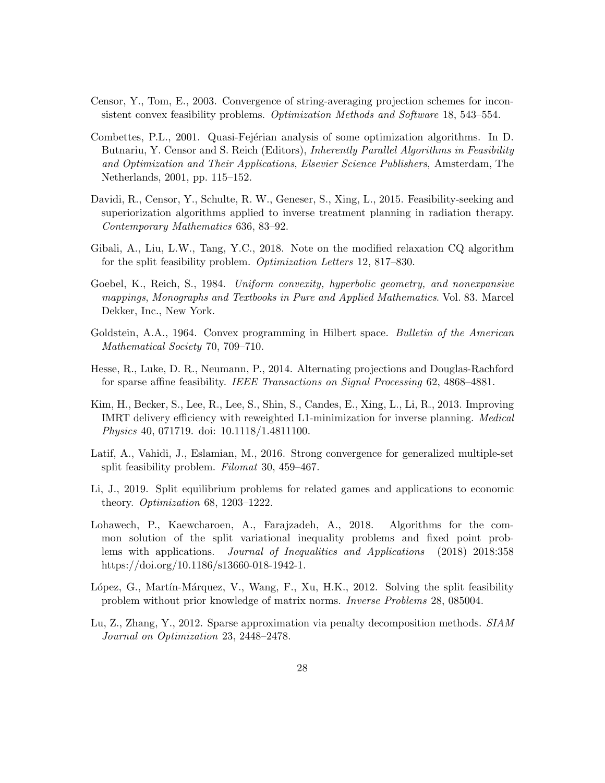- <span id="page-28-10"></span>Censor, Y., Tom, E., 2003. Convergence of string-averaging projection schemes for inconsistent convex feasibility problems. Optimization Methods and Software 18, 543–554.
- <span id="page-28-11"></span>Combettes, P.L., 2001. Quasi-Fejérian analysis of some optimization algorithms. In D. Butnariu, Y. Censor and S. Reich (Editors), *Inherently Parallel Algorithms in Feasibility* and Optimization and Their Applications, Elsevier Science Publishers, Amsterdam, The Netherlands, 2001, pp. 115–152.
- <span id="page-28-4"></span>Davidi, R., Censor, Y., Schulte, R. W., Geneser, S., Xing, L., 2015. Feasibility-seeking and superiorization algorithms applied to inverse treatment planning in radiation therapy. Contemporary Mathematics 636, 83–92.
- <span id="page-28-6"></span>Gibali, A., Liu, L.W., Tang, Y.C., 2018. Note on the modified relaxation CQ algorithm for the split feasibility problem. Optimization Letters 12, 817–830.
- <span id="page-28-9"></span>Goebel, K., Reich, S., 1984. Uniform convexity, hyperbolic geometry, and nonexpansive mappings, Monographs and Textbooks in Pure and Applied Mathematics. Vol. 83. Marcel Dekker, Inc., New York.
- <span id="page-28-8"></span>Goldstein, A.A., 1964. Convex programming in Hilbert space. Bulletin of the American Mathematical Society 70, 709–710.
- <span id="page-28-1"></span>Hesse, R., Luke, D. R., Neumann, P., 2014. Alternating projections and Douglas-Rachford for sparse affine feasibility. IEEE Transactions on Signal Processing 62, 4868–4881.
- <span id="page-28-0"></span>Kim, H., Becker, S., Lee, R., Lee, S., Shin, S., Candes, E., Xing, L., Li, R., 2013. Improving IMRT delivery efficiency with reweighted L1-minimization for inverse planning. Medical Physics 40, 071719. doi: 10.1118/1.4811100.
- <span id="page-28-7"></span>Latif, A., Vahidi, J., Eslamian, M., 2016. Strong convergence for generalized multiple-set split feasibility problem. Filomat 30, 459–467.
- <span id="page-28-3"></span>Li, J., 2019. Split equilibrium problems for related games and applications to economic theory. Optimization 68, 1203–1222.
- <span id="page-28-2"></span>Lohawech, P., Kaewcharoen, A., Farajzadeh, A., 2018. Algorithms for the common solution of the split variational inequality problems and fixed point problems with applications. Journal of Inequalities and Applications (2018) 2018:358 https://doi.org/10.1186/s13660-018-1942-1.
- <span id="page-28-5"></span>López, G., Martín-Márquez, V., Wang, F., Xu, H.K., 2012. Solving the split feasibility problem without prior knowledge of matrix norms. Inverse Problems 28, 085004.
- <span id="page-28-12"></span>Lu, Z., Zhang, Y., 2012. Sparse approximation via penalty decomposition methods. SIAM Journal on Optimization 23, 2448–2478.